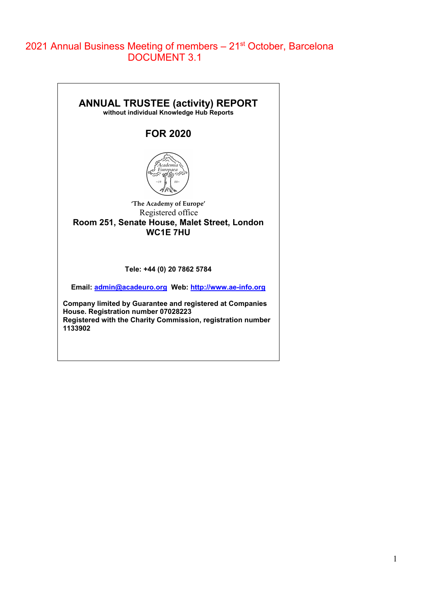# 2021 Annual Business Meeting of members - 21<sup>st</sup> October, Barcelona DOCUMENT 3.1

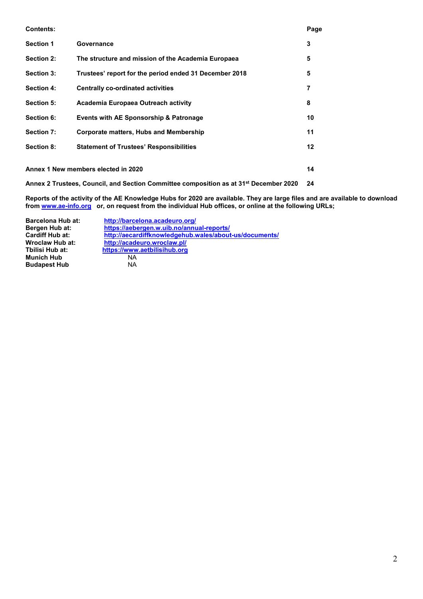| <b>Contents:</b>  |                                                                                                   | Page |
|-------------------|---------------------------------------------------------------------------------------------------|------|
| <b>Section 1</b>  | Governance                                                                                        | 3    |
| Section 2:        | The structure and mission of the Academia Europaea                                                | 5    |
| Section 3:        | Trustees' report for the period ended 31 December 2018                                            | 5    |
| <b>Section 4:</b> | <b>Centrally co-ordinated activities</b>                                                          | 7    |
| <b>Section 5:</b> | Academia Europaea Outreach activity                                                               | 8    |
| Section 6:        | Events with AE Sponsorship & Patronage                                                            | 10   |
| Section 7:        | <b>Corporate matters, Hubs and Membership</b>                                                     | 11   |
| Section 8:        | <b>Statement of Trustees' Responsibilities</b>                                                    | 12   |
|                   |                                                                                                   |      |
|                   | Annex 1 New members elected in 2020                                                               | 14   |
|                   | Annex 2 Trustees, Council, and Section Committee composition as at 31 <sup>st</sup> December 2020 | 24   |

**Reports of the activity of the AE Knowledge Hubs for 2020 are available. They are large files and are available to download from [www.ae-info.org](http://www.ae-info.org/) or, on request from the individual Hub offices, or online at the following URLs;**

| <b>Barcelona Hub at:</b> | http://barcelona.acadeuro.org/                         |
|--------------------------|--------------------------------------------------------|
| Bergen Hub at:           | https://aebergen.w.uib.no/annual-reports/              |
| Cardiff Hub at:          | http://aecardiffknowledgehub.wales/about-us/documents/ |
| Wroclaw Hub at:          | http://acadeuro.wroclaw.pl/                            |
| Tbilisi Hub at:          | https://www.aetbilisihub.org                           |
| Munich Hub               | ΝA                                                     |
| <b>Budapest Hub</b>      | NA                                                     |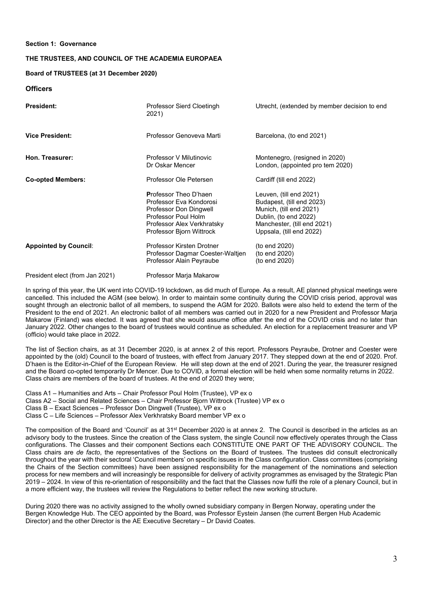# **Section 1: Governance**

# **THE TRUSTEES, AND COUNCIL OF THE ACADEMIA EUROPAEA**

#### **Board of TRUSTEES (at 31 December 2020)**

# **Officers**

| <b>President:</b>            | Professor Sierd Cloetingh<br>2021)                                                                                                                                 | Utrecht, (extended by member decision to end                                                                                                                        |
|------------------------------|--------------------------------------------------------------------------------------------------------------------------------------------------------------------|---------------------------------------------------------------------------------------------------------------------------------------------------------------------|
| <b>Vice President:</b>       | Professor Genoveva Marti                                                                                                                                           | Barcelona, (to end 2021)                                                                                                                                            |
| Hon. Treasurer:              | Professor V Milutinovic<br>Dr Oskar Mencer                                                                                                                         | Montenegro, (resigned in 2020)<br>London, (appointed pro tem 2020)                                                                                                  |
| <b>Co-opted Members:</b>     | Professor Ole Petersen                                                                                                                                             | Cardiff (till end 2022)                                                                                                                                             |
|                              | <b>Professor Theo D'haen</b><br>Professor Eva Kondorosi<br>Professor Don Dingwell<br>Professor Poul Holm<br>Professor Alex Verkhratsky<br>Professor Bjorn Wittrock | Leuven, (till end 2021)<br>Budapest, (till end 2023)<br>Munich, (till end 2021)<br>Dublin, (to end 2022)<br>Manchester, (till end 2021)<br>Uppsala, (till end 2022) |
| <b>Appointed by Council:</b> | Professor Kirsten Drotner<br>Professor Dagmar Coester-Waltjen<br>Professor Alain Peyraube                                                                          | (to end 2020)<br>(to end 2020)<br>(to end 2020)                                                                                                                     |

President elect (from Jan 2021) Professor Marja Makarow

In spring of this year, the UK went into COVID-19 lockdown, as did much of Europe. As a result, AE planned physical meetings were cancelled. This included the AGM (see below). In order to maintain some continuity during the COVID crisis period, approval was sought through an electronic ballot of all members, to suspend the AGM for 2020. Ballots were also held to extend the term of the President to the end of 2021. An electronic ballot of all members was carried out in 2020 for a new President and Professor Marja Makarow (Finland) was elected. It was agreed that she would assume office after the end of the COVID crisis and no later than January 2022. Other changes to the board of trustees would continue as scheduled. An election for a replacement treasurer and VP (officio) would take place in 2022.

The list of Section chairs, as at 31 December 2020, is at annex 2 of this report. Professors Peyraube, Drotner and Coester were appointed by the (old) Council to the board of trustees, with effect from January 2017. They stepped down at the end of 2020. Prof. D'haen is the Editor-in-Chief of the European Review. He will step down at the end of 2021. During the year, the treasurer resigned and the Board co-opted temporarily Dr Mencer. Due to COVID, a formal election will be held when some normality returns in 2022. Class chairs are members of the board of trustees. At the end of 2020 they were;

Class A1 – Humanities and Arts – Chair Professor Poul Holm (Trustee), VP ex o Class A2 – Social and Related Sciences – Chair Professor Bjorn Wittrock (Trustee) VP ex o Class B – Exact Sciences – Professor Don Dingwell (Trustee), VP ex o Class C – Life Sciences – Professor Alex Verkhratsky Board member VP ex o

The composition of the Board and 'Council' as at 31<sup>st</sup> December 2020 is at annex 2. The Council is described in the articles as an advisory body to the trustees. Since the creation of the Class system, the single Council now effectively operates through the Class configurations. The Classes and their component Sections each CONSTITUTE ONE PART OF THE ADVISORY COUNCIL. The Class chairs are *de facto*, the representatives of the Sections on the Board of trustees. The trustees did consult electronically throughout the year with their sectoral 'Council members' on specific issues in the Class configuration. Class committees (comprising the Chairs of the Section committees) have been assigned responsibility for the management of the nominations and selection process for new members and will increasingly be responsible for delivery of activity programmes as envisaged by the Strategic Plan 2019 – 2024. In view of this re-orientation of responsibility and the fact that the Classes now fulfil the role of a plenary Council, but in a more efficient way, the trustees will review the Regulations to better reflect the new working structure.

During 2020 there was no activity assigned to the wholly owned subsidiary company in Bergen Norway, operating under the Bergen Knowledge Hub. The CEO appointed by the Board, was Professor Eystein Jansen (the current Bergen Hub Academic Director) and the other Director is the AE Executive Secretary – Dr David Coates.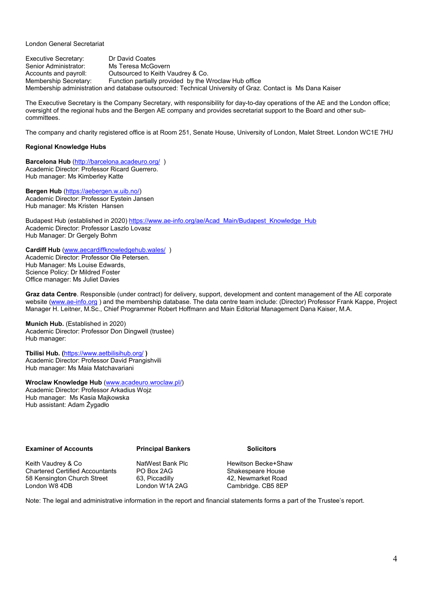London General Secretariat

Executive Secretary: Dr David Coates<br>
Senior Administrator: Ms Teresa McGo Senior Administrator: Ms Teresa McGovern<br>Accounts and payroll: Outsourced to Keith V Outsourced to Keith Vaudrey & Co. Membership Secretary: Function partially provided by the Wroclaw Hub office Membership administration and database outsourced: Technical University of Graz. Contact is Ms Dana Kaiser

The Executive Secretary is the Company Secretary, with responsibility for day-to-day operations of the AE and the London office; oversight of the regional hubs and the Bergen AE company and provides secretariat support to the Board and other subcommittees.

The company and charity registered office is at Room 251, Senate House, University of London, Malet Street. London WC1E 7HU

# **Regional Knowledge Hubs**

**Barcelona Hub** [\(http://barcelona.acadeuro.org/](http://barcelona.acadeuro.org/) ) Academic Director: Professor Ricard Guerrero. Hub manager: Ms Kimberley Katte

**Bergen Hub** [\(https://aebergen.w.uib.no/\)](https://aebergen.w.uib.no/) Academic Director: Professor Eystein Jansen Hub manager: Ms Kristen Hansen

Budapest Hub (established in 2020) [https://www.ae-info.org/ae/Acad\\_Main/Budapest\\_Knowledge\\_Hub](https://www.ae-info.org/ae/Acad_Main/Budapest_Knowledge_Hub) Academic Director: Professor Laszlo Lovasz Hub Manager: Dr Gergely Bohm

# **Cardiff Hub** [\(www.aecardiffknowledgehub.wales/](http://www.aecardiffknowledgehub.wales/) )

Academic Director: Professor Ole Petersen. Hub Manager: Ms Louise Edwards, Science Policy: Dr Mildred Foster Office manager: Ms Juliet Davies

**Graz data Centre**. Responsible (under contract) for delivery, support, development and content management of the AE corporate website [\(www.ae-info.org](http://www.ae-info.org/)) and the membership database. The data centre team include: (Director) Professor Frank Kappe, Project Manager H. Leitner, M.Sc., Chief Programmer Robert Hoffmann and Main Editorial Management Dana Kaiser, M.A.

**Munich Hub.** (Established in 2020) Academic Director: Professor Don Dingwell (trustee) Hub manager:

**Tbilisi Hub. (**<https://www.aetbilisihub.org/> **)** Academic Director: Professor David Prangishvili Hub manager: Ms Maia Matchavariani

**Wroclaw Knowledge Hub** [\(www.acadeuro.wroclaw.pl/](http://www.acadeuro.wroclaw.pl/)) Academic Director: Professor Arkadius Wojz Hub manager: Ms Kasia Majkowska Hub assistant: Adam Żygadło

# **Examiner of Accounts Principal Bankers Solicitors**

Keith Vaudrey & Co **NatWest Bank Plc** Hewitson Becke+Shaw<br>
Chartered Certified Accountants PO Box 2AG Shakespeare House Chartered Certified Accountants PO Box 2AG Shakespeare House<br>
58 Kensington Church Street 63, Piccadilly 42, Newmarket Road 58 Kensington Church Street 63, Piccadilly<br>
London W8 4DB<br>
London W1A 2AG

Cambridge. CB5 8EP

Note: The legal and administrative information in the report and financial statements forms a part of the Trustee's report.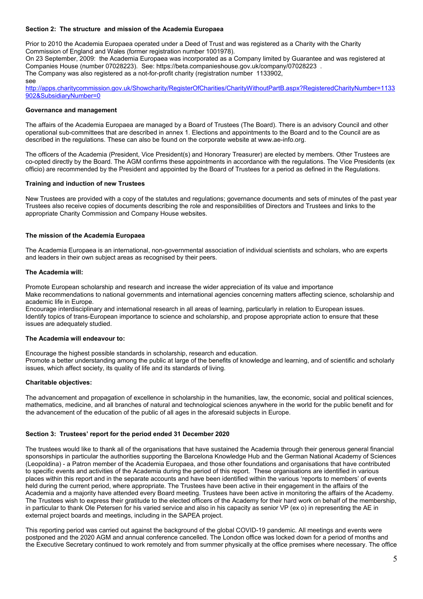# **Section 2: The structure and mission of the Academia Europaea**

Prior to 2010 the Academia Europaea operated under a Deed of Trust and was registered as a Charity with the Charity Commission of England and Wales (former registration number 1001978).

On 23 September, 2009: the Academia Europaea was incorporated as a Company limited by Guarantee and was registered at Companies House (number 07028223). See: https://beta.companieshouse.gov.uk/company/07028223 . The Company was also registered as a not-for-profit charity (registration number 1133902, see

[http://apps.charitycommission.gov.uk/Showcharity/RegisterOfCharities/CharityWithoutPartB.aspx?RegisteredCharityNumber=1133](http://apps.charitycommission.gov.uk/Showcharity/RegisterOfCharities/CharityWithoutPartB.aspx?RegisteredCharityNumber=1133902&SubsidiaryNumber=0) [902&SubsidiaryNumber=0](http://apps.charitycommission.gov.uk/Showcharity/RegisterOfCharities/CharityWithoutPartB.aspx?RegisteredCharityNumber=1133902&SubsidiaryNumber=0)

#### **Governance and management**

The affairs of the Academia Europaea are managed by a Board of Trustees (The Board). There is an advisory Council and other operational sub-committees that are described in annex 1. Elections and appointments to the Board and to the Council are as described in the regulations. These can also be found on the corporate website at www.ae-info.org.

The officers of the Academia (President, Vice President(s) and Honorary Treasurer) are elected by members. Other Trustees are co-opted directly by the Board. The AGM confirms these appointments in accordance with the regulations. The Vice Presidents (ex officio) are recommended by the President and appointed by the Board of Trustees for a period as defined in the Regulations.

# **Training and induction of new Trustees**

New Trustees are provided with a copy of the statutes and regulations; governance documents and sets of minutes of the past year Trustees also receive copies of documents describing the role and responsibilities of Directors and Trustees and links to the appropriate Charity Commission and Company House websites.

# **The mission of the Academia Europaea**

The Academia Europaea is an international, non-governmental association of individual scientists and scholars, who are experts and leaders in their own subject areas as recognised by their peers.

#### **The Academia will:**

Promote European scholarship and research and increase the wider appreciation of its value and importance Make recommendations to national governments and international agencies concerning matters affecting science, scholarship and academic life in Europe.

Encourage interdisciplinary and international research in all areas of learning, particularly in relation to European issues. Identify topics of trans-European importance to science and scholarship, and propose appropriate action to ensure that these issues are adequately studied.

#### **The Academia will endeavour to:**

Encourage the highest possible standards in scholarship, research and education. Promote a better understanding among the public at large of the benefits of knowledge and learning, and of scientific and scholarly issues, which affect society, its quality of life and its standards of living.

# **Charitable objectives:**

The advancement and propagation of excellence in scholarship in the humanities, law, the economic, social and political sciences, mathematics, medicine, and all branches of natural and technological sciences anywhere in the world for the public benefit and for the advancement of the education of the public of all ages in the aforesaid subjects in Europe.

# **Section 3: Trustees' report for the period ended 31 December 2020**

The trustees would like to thank all of the organisations that have sustained the Academia through their generous general financial sponsorships in particular the authorities supporting the Barcelona Knowledge Hub and the German National Academy of Sciences (Leopoldina) - a Patron member of the Academia Europaea, and those other foundations and organisations that have contributed to specific events and activities of the Academia during the period of this report. These organisations are identified in various places within this report and in the separate accounts and have been identified within the various 'reports to members' of events held during the current period, where appropriate. The Trustees have been active in their engagement in the affairs of the Academia and a majority have attended every Board meeting. Trustees have been active in monitoring the affairs of the Academy. The Trustees wish to express their gratitude to the elected officers of the Academy for their hard work on behalf of the membership, in particular to thank Ole Petersen for his varied service and also in his capacity as senior VP (ex o) in representing the AE in external project boards and meetings, including in the SAPEA project.

This reporting period was carried out against the background of the global COVID-19 pandemic. All meetings and events were postponed and the 2020 AGM and annual conference cancelled. The London office was locked down for a period of months and the Executive Secretary continued to work remotely and from summer physically at the office premises where necessary. The office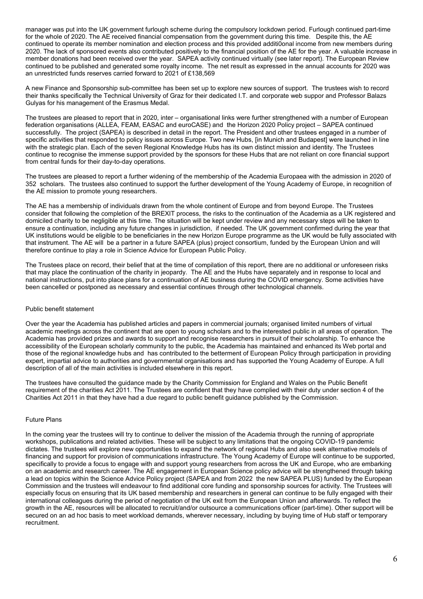manager was put into the UK government furlough scheme during the compulsory lockdown period. Furlough continued part-time for the whole of 2020. The AE received financial compensation from the government during this time. Despite this, the AE continued to operate its member nomination and election process and this provided additi0onal income from new members during 2020. The lack of sponsored events also contributed positively to the financial position of the AE for the year. A valuable increase in member donations had been received over the year. SAPEA activity continued virtually (see later report). The European Review continued to be published and generated some royalty income. The net result as expressed in the annual accounts for 2020 was an unrestricted funds reserves carried forward to 2021 of £138,569

A new Finance and Sponsorship sub-committee has been set up to explore new sources of support. The trustees wish to record their thanks specifically the Technical University of Graz for their dedicated I.T. and corporate web suppor and Professor Balazs Gulyas for his management of the Erasmus Medal.

The trustees are pleased to report that in 2020, inter – organisational links were further strengthened with a number of European federation organisations (ALLEA, FEAM, EASAC and euroCASE) and the Horizon 2020 Policy project – SAPEA continued successfully. The project (SAPEA) is described in detail in the report. The President and other trustees engaged in a number of specific activities that responded to policy issues across Europe. Two new Hubs, [in Munich and Budapest] were launched in line with the strategic plan. Each of the seven Regional Knowledge Hubs has its own distinct mission and identity. The Trustees continue to recognise the immense support provided by the sponsors for these Hubs that are not reliant on core financial support from central funds for their day-to-day operations.

The trustees are pleased to report a further widening of the membership of the Academia Europaea with the admission in 2020 of 352 scholars. The trustees also continued to support the further development of the Young Academy of Europe, in recognition of the AE mission to promote young researchers.

The AE has a membership of individuals drawn from the whole continent of Europe and from beyond Europe. The Trustees consider that following the completion of the BREXIT process, the risks to the continuation of the Academia as a UK registered and domiciled charity to be negligible at this time. The situation will be kept under review and any necessary steps will be taken to ensure a continuation, including any future changes in jurisdiction, if needed. The UK government confirmed during the year that UK institutions would be eligible to be beneficiaries in the new Horizon Europe programme as the UK would be fully associated with that instrument. The AE will be a partner in a future SAPEA (plus) project consortium, funded by the European Union and will therefore continue to play a role in Science Advice for European Public Policy.

The Trustees place on record, their belief that at the time of compilation of this report, there are no additional or unforeseen risks that may place the continuation of the charity in jeopardy. The AE and the Hubs have separately and in response to local and national instructions, put into place plans for a continuation of AE business during the COVID emergency. Some activities have been cancelled or postponed as necessary and essential continues through other technological channels.

#### Public benefit statement

Over the year the Academia has published articles and papers in commercial journals; organised limited numbers of virtual academic meetings across the continent that are open to young scholars and to the interested public in all areas of operation. The Academia has provided prizes and awards to support and recognise researchers in pursuit of their scholarship. To enhance the accessibility of the European scholarly community to the public, the Academia has maintained and enhanced its Web portal and those of the regional knowledge hubs and has contributed to the betterment of European Policy through participation in providing expert, impartial advice to authorities and governmental organisations and has supported the Young Academy of Europe. A full description of all of the main activities is included elsewhere in this report.

The trustees have consulted the guidance made by the Charity Commission for England and Wales on the Public Benefit requirement of the charities Act 2011. The Trustees are confident that they have complied with their duty under section 4 of the Charities Act 2011 in that they have had a due regard to public benefit guidance published by the Commission.

#### Future Plans

In the coming year the trustees will try to continue to deliver the mission of the Academia through the running of appropriate workshops, publications and related activities. These will be subject to any limitations that the ongoing COVID-19 pandemic dictates. The trustees will explore new opportunities to expand the network of regional Hubs and also seek alternative models of financing and support for provision of communications infrastructure. The Young Academy of Europe will continue to be supported, specifically to provide a focus to engage with and support young researchers from across the UK and Europe, who are embarking on an academic and research career. The AE engagement in European Science policy advice will be strengthened through taking a lead on topics within the Science Advice Policy project (SAPEA and from 2022 the new SAPEA PLUS) funded by the European Commission and the trustees will endeavour to find additional core funding and sponsorship sources for activity. The Trustees will especially focus on ensuring that its UK based membership and researchers in general can continue to be fully engaged with their international colleagues during the period of negotiation of the UK exit from the European Union and afterwards. To reflect the growth in the AE, resources will be allocated to recruit/and/or outsource a communications officer (part-time). Other support will be secured on an ad hoc basis to meet workload demands, wherever necessary, including by buying time of Hub staff or temporary recruitment.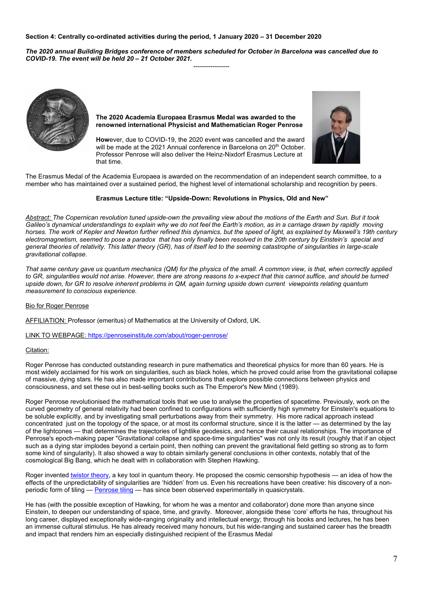# **Section 4: Centrally co-ordinated activities during the period, 1 January 2020 – 31 December 2020**

*The 2020 annual Building Bridges conference of members scheduled for October in Barcelona was cancelled due to COVID-19. The event will be held 20 – 21 October 2021.*

-----------------



**The 2020 Academia Europaea Erasmus Medal was awarded to the renowned international Physicist and Mathematician Roger Penrose** 

**How**ever, due to COVID-19, the 2020 event was cancelled and the award will be made at the 2021 Annual conference in Barcelona on 20<sup>th</sup> October. Professor Penrose will also deliver the Heinz-Nixdorf Erasmus Lecture at that time.



The Erasmus Medal of the Academia Europaea is awarded on the recommendation of an independent search committee, to a member who has maintained over a sustained period, the highest level of international scholarship and recognition by peers.

# **Erasmus Lecture title: "Upside-Down: Revolutions in Physics, Old and New"**

*Abstract: The Copernican revolution tuned upside-own the prevailing view about the motions of the Earth and Sun. But it took Galileo's dynamical understandings to explain why we do not feel the Earth's motion, as in a carriage drawn by rapidly moving horses. The work of Kepler and Newton further refined this dynamics, but the speed of light, as explained by Maxwell's 19th century electromagnetism, seemed to pose a paradox that has only finally been resolved in the 20th century by Einstein's special and general theories of relativity. This latter theory (GR), has of itself led to the seeming catastrophe of singularities in large-scale gravitational collapse.*

*That same century gave us quantum mechanics (QM) for the physics of the small. A common view, is that, when correctly applied to GR, singularities would not arise. However, there are strong reasons to x-expect that this cannot suffice, and should be turned upside down, for GR to resolve inherent problems in QM, again turning upside down current viewpoints relating quantum measurement to conscious experience.*

#### Bio for Roger Penrose

AFFILIATION: Professor (emeritus) of Mathematics at the University of Oxford, UK.

LINK TO WEBPAGE:<https://penroseinstitute.com/about/roger-penrose/>

#### Citation:

Roger Penrose has conducted outstanding research in pure mathematics and theoretical physics for more than 60 years. He is most widely acclaimed for his work on singularities, such as black holes, which he proved could arise from the gravitational collapse of massive, dying stars. He has also made important contributions that explore possible connections between physics and consciousness, and set these out in best-selling books such as The Emperor's New Mind (1989).

Roger Penrose revolutionised the mathematical tools that we use to analyse the properties of spacetime. Previously, work on the curved geometry of general relativity had been confined to configurations with sufficiently high symmetry for Einstein's equations to be soluble explicitly, and by investigating small perturbations away from their symmetry. His more radical approach instead concentrated just on the topology of the space, or at most its conformal structure, since it is the latter — as determined by the lay of the lightcones — that determines the trajectories of lightlike geodesics, and hence their causal relationships. The importance of Penrose's epoch-making paper "Gravitational collapse and space-time singularities" was not only its result (roughly that if an object such as a dying star implodes beyond a certain point, then nothing can prevent the gravitational field getting so strong as to form some kind of singularity). It also showed a way to obtain similarly general conclusions in other contexts, notably that of the cosmological Big Bang, which he dealt with in collaboration with Stephen Hawking.

Roger invente[d twistor theory,](https://en.wikipedia.org/wiki/Twistor_theory) a key tool in quantum theory. He proposed the cosmic censorship hypothesis — an idea of how the effects of the unpredictability of singularities are 'hidden' from us. Even his recreations have been creative: his discovery of a nonperiodic form of tiling — [Penrose tiling](https://en.wikipedia.org/wiki/Penrose_tiling) — has since been observed experimentally in quasicrystals.

He has (with the possible exception of Hawking, for whom he was a mentor and collaborator) done more than anyone since Einstein, to deepen our understanding of space, time, and gravity. Moreover, alongside these 'core' efforts he has, throughout his long career, displayed exceptionally wide-ranging originality and intellectual energy; through his books and lectures, he has been an immense cultural stimulus. He has already received many honours, but his wide-ranging and sustained career has the breadth and impact that renders him an especially distinguished recipient of the Erasmus Medal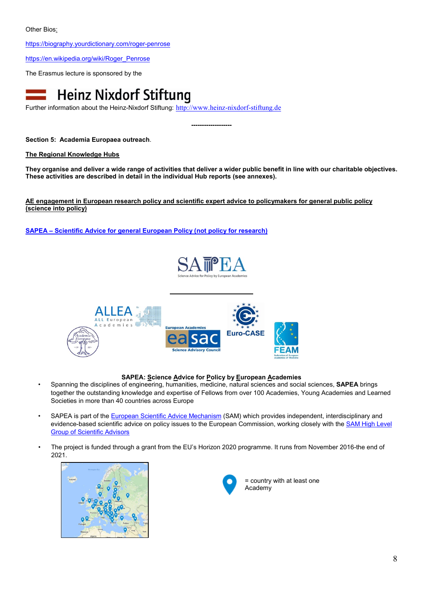<https://biography.yourdictionary.com/roger-penrose>

[https://en.wikipedia.org/wiki/Roger\\_Penrose](https://en.wikipedia.org/wiki/Roger_Penrose)

The Erasmus lecture is sponsored by the



Further information about the Heinz-Nixdorf Stiftung: [http://www.heinz-nixdorf-stiftung.de](http://www.heinz-nixdorf-stiftung.de/)

**-------------------**

**Section 5: Academia Europaea outreach**.

**The Regional Knowledge Hubs**

**They organise and deliver a wide range of activities that deliver a wider public benefit in line with our charitable objectives. These activities are described in detail in the individual Hub reports (see annexes).** 

**AE engagement in European research policy and scientific expert advice to policymakers for general public policy (science into policy)**

**SAPEA – [Scientific Advice for general European Policy \(not policy for research\)](https://www.sapea.info/)**





# **SAPEA: Science Advice for Policy by European Academies**

- Spanning the disciplines of engineering, humanities, medicine, natural sciences and social sciences, **SAPEA** brings together the outstanding knowledge and expertise of Fellows from over 100 Academies, Young Academies and Learned Societies in more than 40 countries across Europe
- SAPEA is part of the [European Scientific Advice Mechanism](https://ec.europa.eu/research/sam/index.cfm?pg=about) (SAM) which provides independent, interdisciplinary and evidence-based scientific advice on policy issues to the European Commission, working closely with the **SAM High Level** [Group of Scientific Advisors](https://ec.europa.eu/research/sam/index.cfm?pg=hlg)
- The project is funded through a grant from the EU's Horizon 2020 programme. It runs from November 2016-the end of 2021.





= country with at least one Academy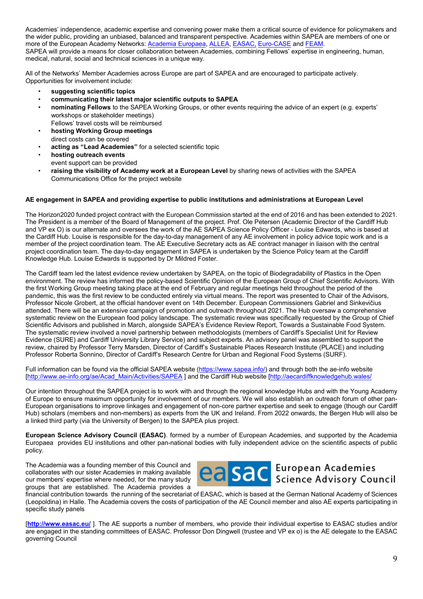Academies' independence, academic expertise and convening power make them a critical source of evidence for policymakers and the wider public, providing an unbiased, balanced and transparent perspective. Academies within SAPEA are members of one or more of the European Academy Networks: [Academia Europaea,](http://www.ae-info.org/) [ALLEA,](http://www.allea.org/) [EASAC,](http://www.easac.eu/) [Euro-CASE](http://www.euro-case.org/) an[d FEAM.](http://www.feam-site.eu/cms/) SAPEA will provide a means for closer collaboration between Academies, combining Fellows' expertise in engineering, human, medical, natural, social and technical sciences in a unique way.

All of the Networks' Member Academies across Europe are part of SAPEA and are encouraged to participate actively. Opportunities for involvement include:

- **suggesting scientific topics**
- **communicating their latest major scientific outputs to SAPEA**
- **nominating Fellows** to the SAPEA Working Groups, or other events requiring the advice of an expert (e.g. experts' workshops or stakeholder meetings)
- Fellows' travel costs will be reimbursed • **hosting Working Group meetings**  direct costs can be covered
- **acting as "Lead Academies"** for a selected scientific topic
- **hosting outreach events**  event support can be provided
- **raising the visibility of Academy work at a European Level** by sharing news of activities with the SAPEA Communications Office for the project website

# **AE engagement in SAPEA and providing expertise to public institutions and administrations at European Level**

The Horizon2020 funded project contract with the European Commission started at the end of 2016 and has been extended to 2021. The President is a member of the Board of Management of the project. Prof. Ole Petersen (Academic Director of the Cardiff Hub and VP ex O) is our alternate and oversees the work of the AE SAPEA Science Policy Officer - Louise Edwards, who is based at the Cardiff Hub. Louise is responsible for the day-to-day management of any AE involvement in policy advice topic work and is a member of the project coordination team. The AE Executive Secretary acts as AE contract manager in liaison with the central project coordination team. The day-to-day engagement in SAPEA is undertaken by the Science Policy team at the Cardiff Knowledge Hub. Louise Edwards is supported by Dr Mildred Foster.

The Cardiff team led the latest evidence review undertaken by SAPEA, on the topic of Biodegradability of Plastics in the Open environment. The review has informed the policy-based Scientific Opinion of the European Group of Chief Scientific Advisors. With the first Working Group meeting taking place at the end of February and regular meetings held throughout the period of the pandemic, this was the first review to be conducted entirely via virtual means. The report was presented to Chair of the Advisors, Professor Nicole Grobert, at the official handover event on 14th December. European Commissioners Gabriel and Sinkevičius attended. There will be an extensive campaign of promotion and outreach throughout 2021. The Hub oversaw a comprehensive systematic review on the European food policy landscape. The systematic review was specifically requested by the Group of Chief Scientific Advisors and published in March, alongside SAPEA's Evidence Review Report, Towards a Sustainable Food System. The systematic review involved a novel partnership between methodologists (members of Cardiff's Specialist Unit for Review Evidence (SURE) and Cardiff University Library Service) and subject experts. An advisory panel was assembled to support the review, chaired by Professor Terry Marsden, Director of Cardiff's Sustainable Places Research Institute (PLACE) and including Professor Roberta Sonnino, Director of Cardiff's Research Centre for Urban and Regional Food Systems (SURF).

Full information can be found via the official SAPEA website [\(https://www.sapea.info/\)](https://www.sapea.info/) and through both the ae-info website [\[http://www.ae-info.org/ae/Acad\\_Main/Activities/SAPEA](http://www.ae-info.org/ae/Acad_Main/Activities/SAPEA) ] and the Cardiff Hub website [\[http://aecardiffknowledgehub.wales/](http://aecardiffknowledgehub.wales/) 

Our intention throughout the SAPEA project is to work with and through the regional knowledge Hubs and with the Young Academy of Europe to ensure maximum opportunity for involvement of our members. We will also establish an outreach forum of other pan-European organisations to improve linkages and engagement of non-core partner expertise and seek to engage (though our Cardiff Hub) scholars (members and non-members) as experts from the UK and Ireland. From 2022 onwards, the Bergen Hub will also be a linked third party (via the University of Bergen) to the SAPEA plus project.

**European Science Advisory Council (EASAC)**. formed by a number of European Academies, and supported by the Academia Europaea provides EU institutions and other pan-national bodies with fully independent advice on the scientific aspects of public policy.

The Academia was a founding member of this Council and collaborates with our sister Academies in making available our members' expertise where needed, for the many study groups that are established. The Academia provides a



financial contribution towards the running of the secretariat of EASAC, which is based at the German National Academy of Sciences (Leopoldina) in Halle. The Academia covers the costs of participation of the AE Council member and also AE experts participating in specific study panels

[**<http://www.easac.eu/>** ]. The AE supports a number of members, who provide their individual expertise to EASAC studies and/or are engaged in the standing committees of EASAC. Professor Don Dingwell (trustee and VP ex o) is the AE delegate to the EASAC governing Council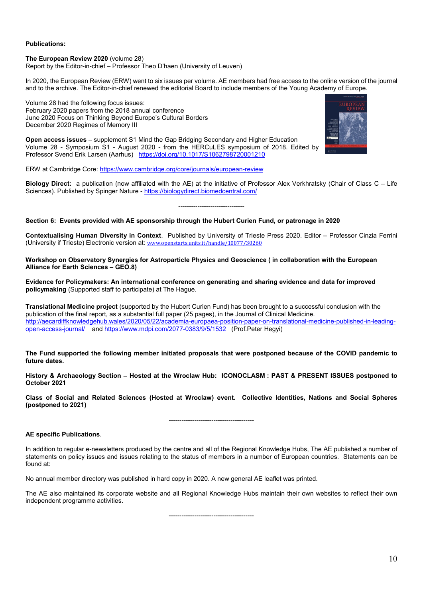# **Publications:**

#### **The European Review 2020** (volume 28)

Report by the Editor-in-chief – Professor Theo D'haen (University of Leuven)

In 2020, the European Review (ERW) went to six issues per volume. AE members had free access to the online version of the journal and to the archive. The Editor-in-chief renewed the editorial Board to include members of the Young Academy of Europe.

Volume 28 had the following focus issues: February 2020 papers from the 2018 annual conference June 2020 Focus on Thinking Beyond Europe's Cultural Borders December 2020 Regimes of Memory III

**Open access issues** – supplement S1 Mind the Gap Bridging Secondary and Higher Education Volume 28 - Symposium S1 - August 2020 - from the HERCuLES symposium of 2018. Edited by Professor Svend Erik Larsen (Aarhus) <https://doi.org/10.1017/S1062798720001210>

ERW at Cambridge Core[: https://www.cambridge.org/core/journals/european-review](https://www.cambridge.org/core/journals/european-review)

**Biology Direct:** a publication (now affiliated with the AE) at the initiative of Professor Alex Verkhratsky (Chair of Class C – Life Sciences). Published by Spinger Nature - <https://biologydirect.biomedcentral.com/>

-------------------------------

#### **Section 6: Events provided with AE sponsorship through the Hubert Curien Fund, or patronage in 2020**

**Contextualising Human Diversity in Context**. Published by University of Trieste Press 2020. Editor – Professor Cinzia Ferrini (University if Trieste) Electronic version at: [www.openstarts.units.it/handle/10077/30260](http://www.openstarts.units.it/handle/10077/30260) 

**Workshop on Observatory Synergies for Astroparticle Physics and Geoscience ( in collaboration with the European Alliance for Earth Sciences – GEO.8)**

**Evidence for Policymakers: An international conference on generating and sharing evidence and data for improved policymaking** (Supported staff to participate) at The Hague.

**Translational Medicine project** (supported by the Hubert Curien Fund) has been brought to a successful conclusion with the publication of the final report, as a substantial full paper (25 pages), in the Journal of Clinical Medicine. [http://aecardiffknowledgehub.wales/2020/05/22/academia-europaea-position-paper-on-translational-medicine-published-in-leading](http://aecardiffknowledgehub.wales/2020/05/22/academia-europaea-position-paper-on-translational-medicine-published-in-leading-open-access-journal/)[open-access-journal/](http://aecardiffknowledgehub.wales/2020/05/22/academia-europaea-position-paper-on-translational-medicine-published-in-leading-open-access-journal/) and<https://www.mdpi.com/2077-0383/9/5/1532>(Prof.Peter Hegyi)

**The Fund supported the following member initiated proposals that were postponed because of the COVID pandemic to future dates.**

**History & Archaeology Section – Hosted at the Wroclaw Hub: ICONOCLASM : PAST & PRESENT ISSUES postponed to October 2021**

**Class of Social and Related Sciences (Hosted at Wroclaw) event. Collective Identities, Nations and Social Spheres (postponed to 2021)**

----------------------------------------

#### **AE specific Publications**.

In addition to regular e-newsletters produced by the centre and all of the Regional Knowledge Hubs, The AE published a number of statements on policy issues and issues relating to the status of members in a number of European countries. Statements can be found at:

No annual member directory was published in hard copy in 2020. A new general AE leaflet was printed.

The AE also maintained its corporate website and all Regional Knowledge Hubs maintain their own websites to reflect their own independent programme activities.

----------------------------------------

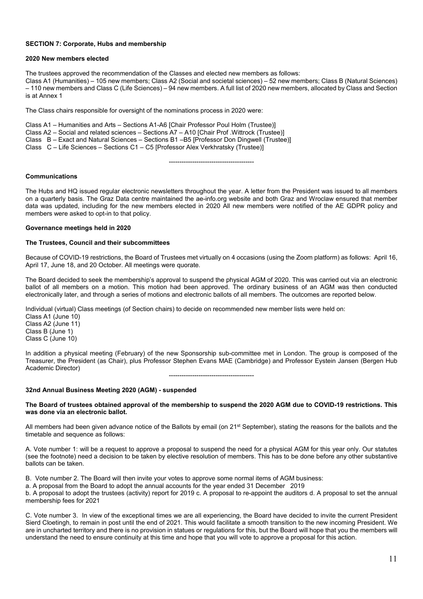### **SECTION 7: Corporate, Hubs and membership**

#### **2020 New members elected**

The trustees approved the recommendation of the Classes and elected new members as follows: Class A1 (Humanities) – 105 new members; Class A2 (Social and societal sciences) – 52 new members; Class B (Natural Sciences) – 110 new members and Class C (Life Sciences) – 94 new members. A full list of 2020 new members, allocated by Class and Section is at Annex 1

The Class chairs responsible for oversight of the nominations process in 2020 were:

Class A1 – Humanities and Arts – Sections A1-A6 [Chair Professor Poul Holm (Trustee)] Class A2 – Social and related sciences – Sections A7 – A10 [Chair Prof .Wittrock (Trustee)] Class B – Exact and Natural Sciences – Sections B1 –B5 [Professor Don Dingwell (Trustee)] Class C – Life Sciences – Sections C1 – C5 [Professor Alex Verkhratsky (Trustee)]

#### ----------------------------------------

# **Communications**

The Hubs and HQ issued regular electronic newsletters throughout the year. A letter from the President was issued to all members on a quarterly basis. The Graz Data centre maintained the ae-info.org website and both Graz and Wroclaw ensured that member data was updated, including for the new members elected in 2020 All new members were notified of the AE GDPR policy and members were asked to opt-in to that policy.

#### **Governance meetings held in 2020**

#### **The Trustees, Council and their subcommittees**

Because of COVID-19 restrictions, the Board of Trustees met virtually on 4 occasions (using the Zoom platform) as follows: April 16, April 17, June 18, and 20 October. All meetings were quorate.

The Board decided to seek the membership's approval to suspend the physical AGM of 2020. This was carried out via an electronic ballot of all members on a motion. This motion had been approved. The ordinary business of an AGM was then conducted electronically later, and through a series of motions and electronic ballots of all members. The outcomes are reported below.

Individual (virtual) Class meetings (of Section chairs) to decide on recommended new member lists were held on:

Class A1 (June 10) Class A2 (June 11) Class B (June 1) Class C (June 10)

In addition a physical meeting (February) of the new Sponsorship sub-committee met in London. The group is composed of the Treasurer, the President (as Chair), plus Professor Stephen Evans MAE (Cambridge) and Professor Eystein Jansen (Bergen Hub Academic Director) ----------------------------------------

#### **32nd Annual Business Meeting 2020 (AGM) - suspended**

#### **The Board of trustees obtained approval of the membership to suspend the 2020 AGM due to COVID-19 restrictions. This was done via an electronic ballot.**

All members had been given advance notice of the Ballots by email (on 21<sup>st</sup> September), stating the reasons for the ballots and the timetable and sequence as follows:

A. Vote number 1: will be a request to approve a proposal to suspend the need for a physical AGM for this year only. Our statutes (see the footnote) need a decision to be taken by elective resolution of members. This has to be done before any other substantive ballots can be taken.

B. Vote number 2. The Board will then invite your votes to approve some normal items of AGM business:

a. A proposal from the Board to adopt the annual accounts for the year ended 31 December 2019

b. A proposal to adopt the trustees (activity) report for 2019 c. A proposal to re-appoint the auditors d. A proposal to set the annual membership fees for 2021

C. Vote number 3. In view of the exceptional times we are all experiencing, the Board have decided to invite the current President Sierd Cloetingh, to remain in post until the end of 2021. This would facilitate a smooth transition to the new incoming President. We are in uncharted territory and there is no provision in statues or regulations for this, but the Board will hope that you the members will understand the need to ensure continuity at this time and hope that you will vote to approve a proposal for this action.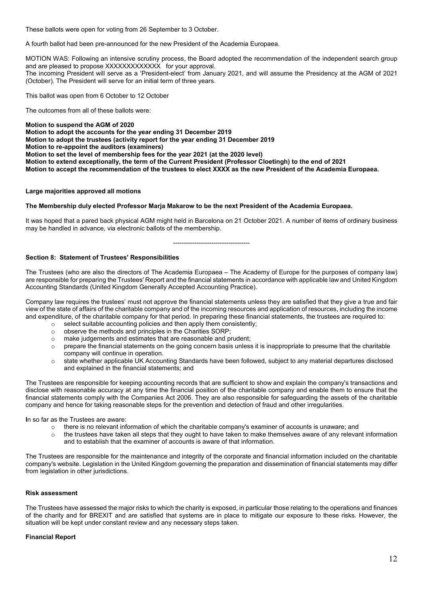These ballots were open for voting from 26 September to 3 October.

A fourth ballot had been pre-announced for the new President of the Academia Europaea.

MOTION WAS: Following an intensive scrutiny process, the Board adopted the recommendation of the independent search group and are pleased to propose XXXXXXXXXXXXX for your approval.

The incoming President will serve as a 'President-elect' from January 2021, and will assume the Presidency at the AGM of 2021 (October). The President will serve for an initial term of three years.

This ballot was open from 6 October to 12 October

The outcomes from all of these ballots were:

**Motion to suspend the AGM of 2020** 

**Motion to adopt the accounts for the year ending 31 December 2019**

**Motion to adopt the trustees (activity report for the year ending 31 December 2019**

**Motion to re-appoint the auditors (examiners)**

**Motion to set the level of membership fees for the year 2021 (at the 2020 level)**

**Motion to extend exceptionally, the term of the Current President (Professor Cloetingh) to the end of 2021**

**Motion to accept the recommendation of the trustees to elect XXXX as the new President of the Academia Europaea.**

# **Large majorities approved all motions**

# **The Membership duly elected Professor Marja Makarow to be the next President of the Academia Europaea.**

It was hoped that a pared back physical AGM might held in Barcelona on 21 October 2021. A number of items of ordinary business may be handled in advance, via electronic ballots of the membership.

------------------------------------

# **Section 8: Statement of Trustees' Responsibilities**

The Trustees (who are also the directors of The Academia Europaea – The Academy of Europe for the purposes of company law) are responsible for preparing the Trustees' Report and the financial statements in accordance with applicable law and United Kingdom Accounting Standards (United Kingdom Generally Accepted Accounting Practice).

Company law requires the trustees' must not approve the financial statements unless they are satisfied that they give a true and fair view of the state of affairs of the charitable company and of the incoming resources and application of resources, including the income and expenditure, of the charitable company for that period. In preparing these financial statements, the trustees are required to:

- $\circ$  select suitable accounting policies and then apply them consistently;<br> $\circ$  observe the methods and principles in the Charities SORP:
- observe the methods and principles in the Charities SORP;
- 
- o make judgements and estimates that are reasonable and prudent;<br>o prepare the financial statements on the going concern basis unles prepare the financial statements on the going concern basis unless it is inappropriate to presume that the charitable company will continue in operation.
- o state whether applicable UK Accounting Standards have been followed, subject to any material departures disclosed and explained in the financial statements; and

The Trustees are responsible for keeping accounting records that are sufficient to show and explain the company's transactions and disclose with reasonable accuracy at any time the financial position of the charitable company and enable them to ensure that the financial statements comply with the Companies Act 2006. They are also responsible for safeguarding the assets of the charitable company and hence for taking reasonable steps for the prevention and detection of fraud and other irregularities.

**I**n so far as the Trustees are aware:

- o there is no relevant information of which the charitable company's examiner of accounts is unaware; and
- $\circ$  the trustees have taken all steps that they ought to have taken to make themselves aware of any relevant information and to establish that the examiner of accounts is aware of that information.

The Trustees are responsible for the maintenance and integrity of the corporate and financial information included on the charitable company's website. Legislation in the United Kingdom governing the preparation and dissemination of financial statements may differ from legislation in other jurisdictions.

# **Risk assessment**

The Trustees have assessed the major risks to which the charity is exposed, in particular those relating to the operations and finances of the charity and for BREXIT and are satisfied that systems are in place to mitigate our exposure to these risks. However, the situation will be kept under constant review and any necessary steps taken.

# **Financial Report**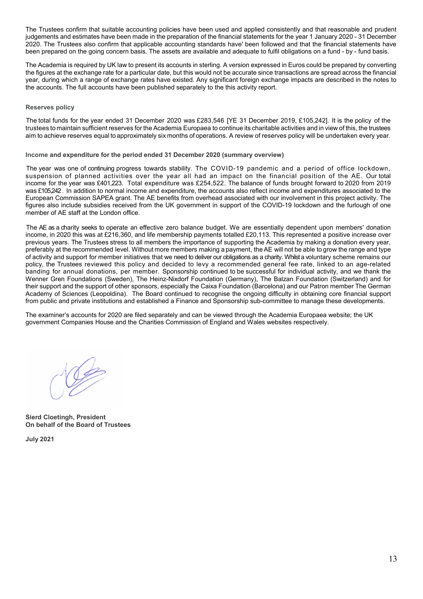The Trustees confirm that suitable accounting policies have been used and applied consistently and that reasonable and prudent judgements and estimates have been made in the preparation of the financial statements for the year 1 January 2020 - 31 December 2020. The Trustees also confirm that applicable accounting standards have' been followed and that the financial statements have been prepared on the going concern basis. The assets are available and adequate to fulfil obligations on a fund - by - fund basis.

The Academia is required by UK law to present its accounts in sterling. A version expressed in Euros could be prepared by converting the figures at the exchange rate for a particular date, but this would not be accurate since transactions are spread across the financial year, during which a range of exchange rates have existed. Any significant foreign exchange impacts are described in the notes to the accounts. The full accounts have been published separately to the this activity report.

#### **Reserves policy**

The total funds for the year ended 31 December 2020 was £283,546 [YE 31 December 2019, £105,242]. It is the policy of the trustees to maintain sufficient reserves for the Academia Europaea to continue its charitable activities and in view of this, the trustees aim to achieve reserves equal to approximately six months of operations. A review of reserves policy will be undertaken every year.

**Income and expenditure for the period ended 31 December 2020 (summary overview)**

The year was one of continuing progress towards stability. The COVID-19 pandemic and a period of office lockdown, suspension of planned activities over the year all had an impact on the financial position of the AE. Our total income for the year was £401,223. Total expenditure was £254,522. The balance of funds brought forward to 2020 from 2019 was £105,242. In addition to normal income and expenditure, the accounts also reflect income and expenditures associated to the European Commission SAPEA grant. The AE benefits from overhead associated with our involvement in this project activity. The figures also include subsidies received from the UK government in support of the COVID-19 lockdown and the furlough of one member of AE staff at the London office.

The AE as a charity seeks to operate an effective zero balance budget. We are essentially dependent upon members' donation income, in 2020 this was at £216,360, and life membership payments totalled £20,113. This represented a positive increase over previous years. The Trustees stress to all members the importance of supporting the Academia by making a donation every year, preferably at the recommended level. Without more members making a payment, theAE will not be able to grow the range and type of activity and support for member initiatives that we need to deliver our obligations as a charity. Whilst a voluntary scheme remains our policy, the Trustees reviewed this policy and decided to levy a recommended general fee rate, linked to an age-related banding for annual donations, per member. Sponsorship continued to be successful for individual activity, and we thank the Wenner Gren Foundations (Sweden), The Heinz-Nixdorf Foundation (Germany), The Balzan Foundation (Switzerland) and for their support and the support of other sponsors, especially the Caixa Foundation (Barcelona) and our Patron member The German Academy of Sciences (Leopoldina). The Board continued to recognise the ongoing difficulty in obtaining core financial support from public and private institutions and established a Finance and Sponsorship sub-committee to manage these developments.

The examiner's accounts for 2020 are filed separately and can be viewed through the Academia Europaea website; the UK government Companies House and the Charities Commission of England and Wales websites respectively.

**Sierd Cloetingh, President On behalf of the Board of Trustees**

**July 2021**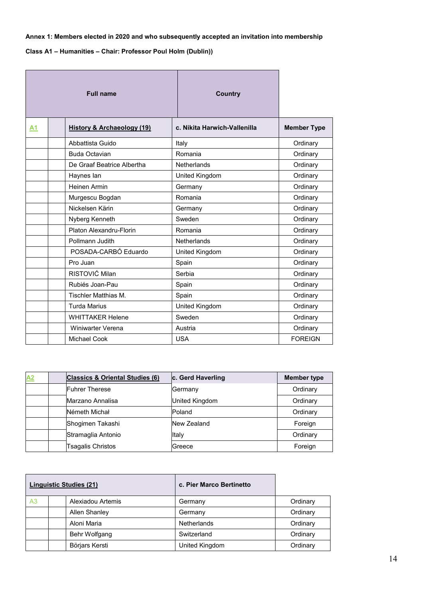# **Annex 1: Members elected in 2020 and who subsequently accepted an invitation into membership**

**Class A1 – Humanities – Chair: Professor Poul Holm (Dublin))** 

|    | <b>Full name</b>                      | <b>Country</b>               |                    |
|----|---------------------------------------|------------------------------|--------------------|
| А1 | <b>History &amp; Archaeology (19)</b> | c. Nikita Harwich-Vallenilla | <b>Member Type</b> |
|    | Abbattista Guido                      | Italy                        | Ordinary           |
|    | <b>Buda Octavian</b>                  | Romania                      | Ordinary           |
|    | De Graaf Beatrice Albertha            | <b>Netherlands</b>           | Ordinary           |
|    | Haynes lan                            | United Kingdom               | Ordinary           |
|    | Heinen Armin                          | Germany                      | Ordinary           |
|    | Murgescu Bogdan                       | Romania                      | Ordinary           |
|    | Nickelsen Kärin                       | Germany                      | Ordinary           |
|    | Nyberg Kenneth                        | Sweden                       | Ordinary           |
|    | Platon Alexandru-Florin               | Romania                      | Ordinary           |
|    | Pollmann Judith                       | Netherlands                  | Ordinary           |
|    | POSADA-CARBÓ Eduardo                  | United Kingdom               | Ordinary           |
|    | Pro Juan                              | Spain                        | Ordinary           |
|    | RISTOVIĆ Milan                        | Serbia                       | Ordinary           |
|    | Rubiés Joan-Pau                       | Spain                        | Ordinary           |
|    | <b>Tischler Matthias M.</b>           | Spain                        | Ordinary           |
|    | <b>Turda Marius</b>                   | United Kingdom               | Ordinary           |
|    | <b>WHITTAKER Helene</b>               | Sweden                       | Ordinary           |
|    | Winiwarter Verena                     | Austria                      | Ordinary           |
|    | Michael Cook                          | <b>USA</b>                   | <b>FOREIGN</b>     |

| A2 | <b>Classics &amp; Oriental Studies (6)</b> | c. Gerd Haverling | <b>Member type</b> |
|----|--------------------------------------------|-------------------|--------------------|
|    | <b>Fuhrer Therese</b>                      | Germany           | Ordinary           |
|    | Marzano Annalisa                           | United Kingdom    | Ordinary           |
|    | Németh Michał                              | Poland            | Ordinary           |
|    | Shogimen Takashi                           | New Zealand       | Foreign            |
|    | Stramaglia Antonio                         | Italy             | Ordinary           |
|    | <b>Tsagalis Christos</b>                   | Greece            | Foreign            |

| <b>Linguistic Studies (21)</b> |                   | c. Pier Marco Bertinetto |          |
|--------------------------------|-------------------|--------------------------|----------|
| A <sub>3</sub>                 | Alexiadou Artemis | Germany                  | Ordinary |
|                                | Allen Shanley     | Germany                  | Ordinary |
|                                | Aloni Maria       | Netherlands              | Ordinary |
|                                | Behr Wolfgang     | Switzerland              | Ordinary |
|                                | Börjars Kersti    | United Kingdom           | Ordinary |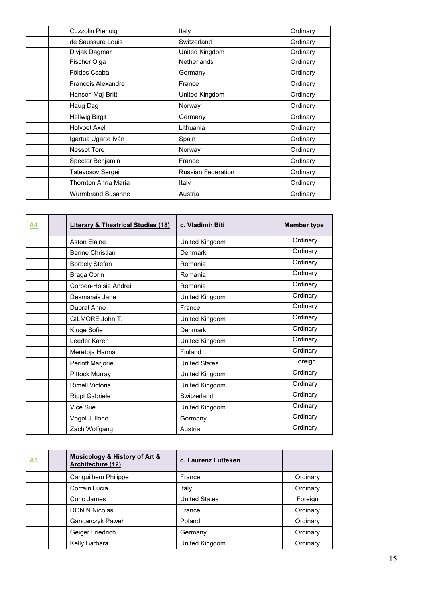| Cuzzolin Pierluigi       | Italy                     | Ordinary |
|--------------------------|---------------------------|----------|
| de Saussure Louis        | Switzerland               | Ordinary |
| Divjak Dagmar            | United Kingdom            | Ordinary |
| Fischer Olga             | <b>Netherlands</b>        | Ordinary |
| Földes Csaba             | Germany                   | Ordinary |
| François Alexandre       | France                    | Ordinary |
| Hansen Maj-Britt         | United Kingdom            | Ordinary |
| Haug Dag                 | Norway                    | Ordinary |
| <b>Hellwig Birgit</b>    | Germany                   | Ordinary |
| <b>Holvoet Axel</b>      | Lithuania                 | Ordinary |
| Igartua Ugarte Iván      | Spain                     | Ordinary |
| <b>Nesset Tore</b>       | Norway                    | Ordinary |
| Spector Benjamin         | France                    | Ordinary |
| Tatevosov Sergei         | <b>Russian Federation</b> | Ordinary |
| Thornton Anna Maria      | Italy                     | Ordinary |
| <b>Wurmbrand Susanne</b> | Austria                   | Ordinary |

| A4 | <b>Literary &amp; Theatrical Studies (18)</b> | c. Vladimir Biti     | <b>Member type</b> |
|----|-----------------------------------------------|----------------------|--------------------|
|    | <b>Aston Elaine</b>                           | United Kingdom       | Ordinary           |
|    | <b>Benne Christian</b>                        | Denmark              | Ordinary           |
|    | <b>Borbely Stefan</b>                         | Romania              | Ordinary           |
|    | Braga Corin                                   | Romania              | Ordinary           |
|    | Corbea-Hoisie Andrei                          | Romania              | Ordinary           |
|    | Desmarais Jane                                | United Kingdom       | Ordinary           |
|    | Duprat Anne                                   | France               | Ordinary           |
|    | GILMORE John T.                               | United Kingdom       | Ordinary           |
|    | Kluge Sofie                                   | Denmark              | Ordinary           |
|    | Leeder Karen                                  | United Kingdom       | Ordinary           |
|    | Meretoja Hanna                                | Finland              | Ordinary           |
|    | Perloff Marjorie                              | <b>United States</b> | Foreign            |
|    | <b>Pittock Murray</b>                         | United Kingdom       | Ordinary           |
|    | <b>Rimell Victoria</b>                        | United Kingdom       | Ordinary           |
|    | <b>Rippl Gabriele</b>                         | Switzerland          | Ordinary           |
|    | Vice Sue                                      | United Kingdom       | Ordinary           |
|    | Vogel Juliane                                 | Germany              | Ordinary           |
|    | Zach Wolfgang                                 | Austria              | Ordinary           |

| <b>A5</b> | <b>Musicology &amp; History of Art &amp;</b><br>Architecture (12) | c. Laurenz Lutteken  |          |
|-----------|-------------------------------------------------------------------|----------------------|----------|
|           | Canguilhem Philippe                                               | France               | Ordinary |
|           | Corrain Lucia                                                     | Italy                | Ordinary |
|           | Cuno James                                                        | <b>United States</b> | Foreign  |
|           | <b>DONIN Nicolas</b>                                              | France               | Ordinary |
|           | Gancarczyk Paweł                                                  | Poland               | Ordinary |
|           | Geiger Friedrich                                                  | Germany              | Ordinary |
|           | Kelly Barbara                                                     | United Kingdom       | Ordinary |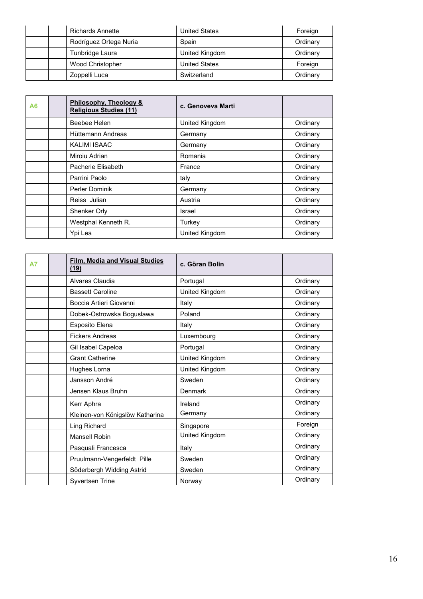|  | Richards Annette        | <b>United States</b> | Foreign  |
|--|-------------------------|----------------------|----------|
|  | Rodríguez Ortega Nuria  | Spain                | Ordinary |
|  | Tunbridge Laura         | United Kingdom       | Ordinary |
|  | <b>Wood Christopher</b> | <b>United States</b> | Foreign  |
|  | Zoppelli Luca           | Switzerland          | Ordinary |

| A6 |               | Philosophy, Theology &<br><b>Religious Studies (11)</b> | c. Genoveva Marti |          |
|----|---------------|---------------------------------------------------------|-------------------|----------|
|    |               | <b>Beebee Helen</b>                                     | United Kingdom    | Ordinary |
|    |               | Hüttemann Andreas                                       | Germany           | Ordinary |
|    |               | KALIMI ISAAC                                            | Germany           | Ordinary |
|    | Miroiu Adrian |                                                         | Romania           | Ordinary |
|    |               | Pacherie Flisabeth                                      | France            | Ordinary |
|    | Parrini Paolo |                                                         | taly              | Ordinary |
|    |               | <b>Perler Dominik</b>                                   | Germany           | Ordinary |
|    | Reiss Julian  |                                                         | Austria           | Ordinary |
|    | Shenker Orly  |                                                         | Israel            | Ordinary |
|    |               | Westphal Kenneth R.                                     | Turkey            | Ordinary |
|    | Ypi Lea       |                                                         | United Kingdom    | Ordinary |

| А7 | <b>Film, Media and Visual Studies</b><br>(19) | c. Göran Bolin |          |
|----|-----------------------------------------------|----------------|----------|
|    | Alvares Claudia                               | Portugal       | Ordinary |
|    | <b>Bassett Caroline</b>                       | United Kingdom | Ordinary |
|    | Boccia Artieri Giovanni                       | Italy          | Ordinary |
|    | Dobek-Ostrowska Boguslawa                     | Poland         | Ordinary |
|    | Esposito Elena                                | Italy          | Ordinary |
|    | <b>Fickers Andreas</b>                        | Luxembourg     | Ordinary |
|    | Gil Isabel Capeloa                            | Portugal       | Ordinary |
|    | <b>Grant Catherine</b>                        | United Kingdom | Ordinary |
|    | Hughes Lorna                                  | United Kingdom | Ordinary |
|    | Jansson André                                 | Sweden         | Ordinary |
|    | Jensen Klaus Bruhn                            | Denmark        | Ordinary |
|    | Kerr Aphra                                    | Ireland        | Ordinary |
|    | Kleinen-von Königslöw Katharina               | Germany        | Ordinary |
|    | Ling Richard                                  | Singapore      | Foreign  |
|    | <b>Mansell Robin</b>                          | United Kingdom | Ordinary |
|    | Pasquali Francesca                            | Italy          | Ordinary |
|    | Pruulmann-Vengerfeldt Pille                   | Sweden         | Ordinary |
|    | Söderbergh Widding Astrid                     | Sweden         | Ordinary |
|    | <b>Syvertsen Trine</b>                        | Norway         | Ordinary |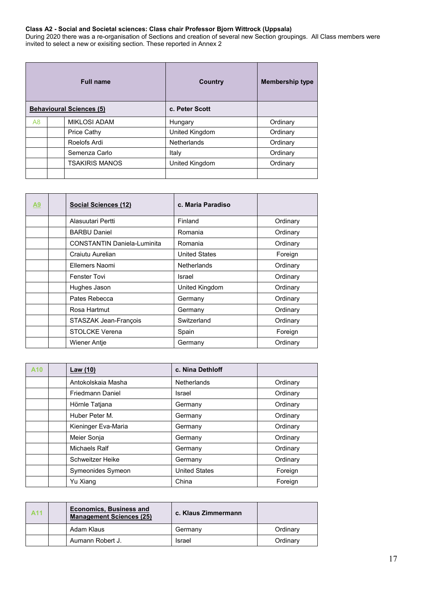# **Class A2 - Social and Societal sciences: Class chair Professor Bjorn Wittrock (Uppsala)**

During 2020 there was a re-organisation of Sections and creation of several new Section groupings. All Class members were invited to select a new or exisiting section. These reported in Annex 2

|    | <b>Full name</b>                | Country            | <b>Membership type</b> |
|----|---------------------------------|--------------------|------------------------|
|    | <b>Behavioural Sciences (5)</b> | c. Peter Scott     |                        |
| A8 | <b>MIKLOSI ADAM</b>             | Hungary            | Ordinary               |
|    | Price Cathy                     | United Kingdom     | Ordinary               |
|    | Roelofs Ardi                    | <b>Netherlands</b> | Ordinary               |
|    | Semenza Carlo                   | Italy              | Ordinary               |
|    | <b>TSAKIRIS MANOS</b>           | United Kingdom     | Ordinary               |
|    |                                 |                    |                        |

| A9 | Social Sciences (12)               | c. Maria Paradiso    |          |
|----|------------------------------------|----------------------|----------|
|    | Alasuutari Pertti                  | Finland              | Ordinary |
|    | <b>BARBU Daniel</b>                | Romania              | Ordinary |
|    | <b>CONSTANTIN Daniela-Luminita</b> | Romania              | Ordinary |
|    | Craiutu Aurelian                   | <b>United States</b> | Foreign  |
|    | Ellemers Naomi                     | <b>Netherlands</b>   | Ordinary |
|    | <b>Fenster Tovi</b>                | Israel               | Ordinary |
|    | Hughes Jason                       | United Kingdom       | Ordinary |
|    | Pates Rebecca                      | Germany              | Ordinary |
|    | Rosa Hartmut                       | Germany              | Ordinary |
|    | STASZAK Jean-François              | Switzerland          | Ordinary |
|    | <b>STOLCKE Verena</b>              | Spain                | Foreign  |
|    | Wiener Antje                       | Germany              | Ordinary |

| A <sub>10</sub> | Law (10)                | c. Nina Dethloff     |          |
|-----------------|-------------------------|----------------------|----------|
|                 | Antokolskaia Masha      | <b>Netherlands</b>   | Ordinary |
|                 | Friedmann Daniel        | Israel               | Ordinary |
|                 | Hörnle Tatjana          | Germany              | Ordinary |
|                 | Huber Peter M.          | Germany              | Ordinary |
|                 | Kieninger Eva-Maria     | Germany              | Ordinary |
|                 | Meier Sonja             | Germany              | Ordinary |
|                 | Michaels Ralf           | Germany              | Ordinary |
|                 | <b>Schweitzer Heike</b> | Germany              | Ordinary |
|                 | Symeonides Symeon       | <b>United States</b> | Foreign  |
|                 | Yu Xiang                | China                | Foreign  |

| <b>A11</b> | <b>Economics, Business and</b><br><b>Management Sciences (25)</b> | c. Klaus Zimmermann |          |
|------------|-------------------------------------------------------------------|---------------------|----------|
|            | Adam Klaus                                                        | Germany             | Ordinary |
|            | Aumann Robert J.                                                  | Israel              | Ordinary |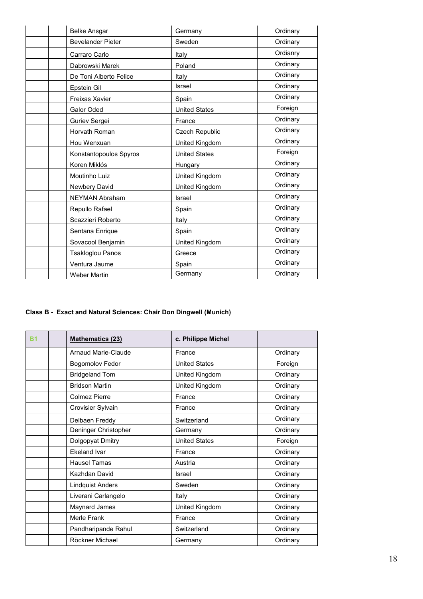| <b>Belke Ansgar</b>      | Germany               | Ordinary |
|--------------------------|-----------------------|----------|
| <b>Bevelander Pieter</b> | Sweden                | Ordinary |
| Carraro Carlo            | Italy                 | Ordianry |
| Dabrowski Marek          | Poland                | Ordinary |
| De Toni Alberto Felice   | Italy                 | Ordinary |
| Epstein Gil              | Israel                | Ordinary |
| <b>Freixas Xavier</b>    | Spain                 | Ordinary |
| Galor Oded               | <b>United States</b>  | Foreign  |
| Guriev Sergei            | France                | Ordinary |
| Horvath Roman            | <b>Czech Republic</b> | Ordinary |
| Hou Wenxuan              | United Kingdom        | Ordinary |
| Konstantopoulos Spyros   | <b>United States</b>  | Foreign  |
| Koren Miklós             | Hungary               | Ordinary |
| Moutinho Luiz            | United Kingdom        | Ordinary |
| Newbery David            | United Kingdom        | Ordinary |
| <b>NEYMAN Abraham</b>    | Israel                | Ordinary |
| Repullo Rafael           | Spain                 | Ordinary |
| Scazzieri Roberto        | Italy                 | Ordinary |
| Sentana Enrique          | Spain                 | Ordinary |
| Sovacool Benjamin        | United Kingdom        | Ordinary |
| <b>Tsakloglou Panos</b>  | Greece                | Ordinary |
| Ventura Jaume            | Spain                 | Ordinary |
| <b>Weber Martin</b>      | Germany               | Ordinary |

# **Class B - Exact and Natural Sciences: Chair Don Dingwell (Munich)**

| R1 | <b>Mathematics (23)</b> | c. Philippe Michel   |          |
|----|-------------------------|----------------------|----------|
|    | Arnaud Marie-Claude     | France               | Ordinary |
|    | <b>Bogomolov Fedor</b>  | <b>United States</b> | Foreign  |
|    | <b>Bridgeland Tom</b>   | United Kingdom       | Ordinary |
|    | <b>Bridson Martin</b>   | United Kingdom       | Ordinary |
|    | <b>Colmez Pierre</b>    | France               | Ordinary |
|    | Crovisier Sylvain       | France               | Ordinary |
|    | Delbaen Freddy          | Switzerland          | Ordinary |
|    | Deninger Christopher    | Germany              | Ordinary |
|    | Dolgopyat Dmitry        | <b>United States</b> | Foreign  |
|    | <b>Ekeland Ivar</b>     | France               | Ordinary |
|    | Hausel Tamas            | Austria              | Ordinary |
|    | Kazhdan David           | Israel               | Ordinary |
|    | <b>Lindquist Anders</b> | Sweden               | Ordinary |
|    | Liverani Carlangelo     | Italy                | Ordinary |
|    | Maynard James           | United Kingdom       | Ordinary |
|    | Merle Frank             | France               | Ordinary |
|    | Pandharipande Rahul     | Switzerland          | Ordinary |
|    | Röckner Michael         | Germany              | Ordinary |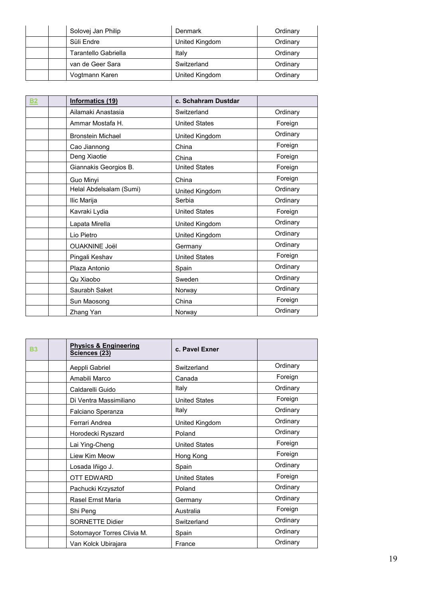| Solovej Jan Philip   | Denmark        | Ordinary |
|----------------------|----------------|----------|
| Süli Endre           | United Kingdom | Ordinary |
| Tarantello Gabriella | Italv          | Ordinary |
| van de Geer Sara     | Switzerland    | Ordinary |
| Vogtmann Karen       | United Kingdom | Ordinary |

| <b>B2</b> | <b>Informatics (19)</b>  | c. Schahram Dustdar  |          |
|-----------|--------------------------|----------------------|----------|
|           | Ailamaki Anastasia       | Switzerland          | Ordinary |
|           | Ammar Mostafa H.         | <b>United States</b> | Foreign  |
|           | <b>Bronstein Michael</b> | United Kingdom       | Ordinary |
|           | Cao Jiannong             | China                | Foreign  |
|           | Deng Xiaotie             | China                | Foreign  |
|           | Giannakis Georgios B.    | <b>United States</b> | Foreign  |
|           | Guo Minyi                | China                | Foreign  |
|           | Helal Abdelsalam (Sumi)  | United Kingdom       | Ordinary |
|           | Ilic Marija              | Serbia               | Ordinary |
|           | Kavraki Lydia            | <b>United States</b> | Foreign  |
|           | Lapata Mirella           | United Kingdom       | Ordinary |
|           | Lio Pietro               | United Kingdom       | Ordinary |
|           | <b>OUAKNINE Joël</b>     | Germany              | Ordinary |
|           | Pingali Keshav           | <b>United States</b> | Foreign  |
|           | Plaza Antonio            | Spain                | Ordinary |
|           | Qu Xiaobo                | Sweden               | Ordinary |
|           | Saurabh Saket            | Norway               | Ordinary |
|           | Sun Maosong              | China                | Foreign  |
|           | Zhang Yan                | Norway               | Ordinary |

| <b>B3</b> | <b>Physics &amp; Engineering</b><br>Sciences (23) | c. Pavel Exner       |          |
|-----------|---------------------------------------------------|----------------------|----------|
|           | Aeppli Gabriel                                    | Switzerland          | Ordinary |
|           | Amabili Marco                                     | Canada               | Foreign  |
|           | Caldarelli Guido                                  | Italy                | Ordinary |
|           | Di Ventra Massimiliano                            | <b>United States</b> | Foreign  |
|           | Falciano Speranza                                 | Italy                | Ordinary |
|           | Ferrari Andrea                                    | United Kingdom       | Ordinary |
|           | Horodecki Ryszard                                 | Poland               | Ordinary |
|           | Lai Ying-Cheng                                    | <b>United States</b> | Foreign  |
|           | Liew Kim Meow                                     | Hong Kong            | Foreign  |
|           | Losada Iñigo J.                                   | Spain                | Ordinary |
|           | <b>OTT EDWARD</b>                                 | <b>United States</b> | Foreign  |
|           | Pachucki Krzysztof                                | Poland               | Ordinary |
|           | <b>Rasel Ernst Maria</b>                          | Germany              | Ordinary |
|           | Shi Peng                                          | Australia            | Foreign  |
|           | <b>SORNETTE Didier</b>                            | Switzerland          | Ordinary |
|           | Sotomayor Torres Clivia M.                        | Spain                | Ordinary |
|           | Van Kolck Ubirajara                               | France               | Ordinary |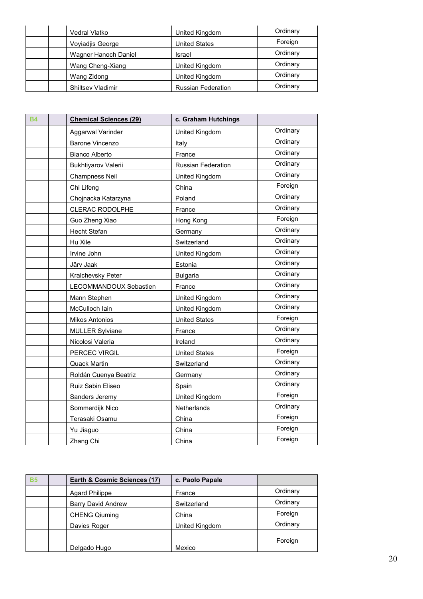| Vedral Vlatko            | United Kingdom            | Ordinary |
|--------------------------|---------------------------|----------|
| Voyiadjis George         | <b>United States</b>      | Foreign  |
| Wagner Hanoch Daniel     | Israel                    | Ordinary |
| Wang Cheng-Xiang         | United Kingdom            | Ordinary |
| Wang Zidong              | United Kingdom            | Ordinary |
| <b>Shiltsey Vladimir</b> | <b>Russian Federation</b> | Ordinary |

| <b>B4</b> | <b>Chemical Sciences (29)</b> | c. Graham Hutchings       |          |
|-----------|-------------------------------|---------------------------|----------|
|           | Aggarwal Varinder             | United Kingdom            | Ordinary |
|           | <b>Barone Vincenzo</b>        | Italy                     | Ordinary |
|           | <b>Bianco Alberto</b>         | France                    | Ordinary |
|           | Bukhtiyarov Valerii           | <b>Russian Federation</b> | Ordinary |
|           | <b>Champness Neil</b>         | United Kingdom            | Ordinary |
|           | Chi Lifeng                    | China                     | Foreign  |
|           | Chojnacka Katarzyna           | Poland                    | Ordinary |
|           | <b>CLERAC RODOLPHE</b>        | France                    | Ordinary |
|           | Guo Zheng Xiao                | Hong Kong                 | Foreign  |
|           | <b>Hecht Stefan</b>           | Germany                   | Ordinary |
|           | Hu Xile                       | Switzerland               | Ordinary |
|           | Irvine John                   | United Kingdom            | Ordinary |
|           | Järv Jaak                     | Estonia                   | Ordinary |
|           | Kralchevsky Peter             | <b>Bulgaria</b>           | Ordinary |
|           | LECOMMANDOUX Sebastien        | France                    | Ordinary |
|           | Mann Stephen                  | United Kingdom            | Ordinary |
|           | McCulloch lain                | United Kingdom            | Ordinary |
|           | <b>Mikos Antonios</b>         | <b>United States</b>      | Foreign  |
|           | <b>MULLER Sylviane</b>        | France                    | Ordinary |
|           | Nicolosi Valeria              | Ireland                   | Ordinary |
|           | PERCEC VIRGIL                 | <b>United States</b>      | Foreign  |
|           | <b>Quack Martin</b>           | Switzerland               | Ordinary |
|           | Roldán Cuenya Beatriz         | Germany                   | Ordinary |
|           | Ruiz Sabin Eliseo             | Spain                     | Ordinary |
|           | Sanders Jeremy                | United Kingdom            | Foreign  |
|           | Sommerdijk Nico               | Netherlands               | Ordinary |
|           | Terasaki Osamu                | China                     | Foreign  |
|           | Yu Jiaguo                     | China                     | Foreign  |
|           | Zhang Chi                     | China                     | Foreign  |

| <b>B5</b> | Earth & Cosmic Sciences (17) | c. Paolo Papale |          |
|-----------|------------------------------|-----------------|----------|
|           | <b>Agard Philippe</b>        | France          | Ordinary |
|           | <b>Barry David Andrew</b>    | Switzerland     | Ordinary |
|           | <b>CHENG Qiuming</b>         | China           | Foreign  |
|           | Davies Roger                 | United Kingdom  | Ordinary |
|           | Delgado Hugo                 | Mexico          | Foreign  |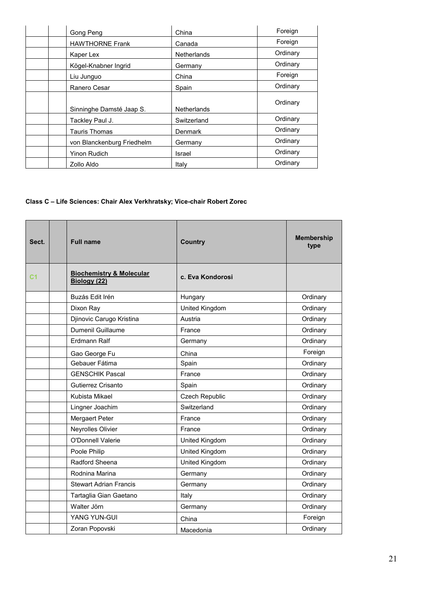| Gong Peng                  | China              | Foreign  |
|----------------------------|--------------------|----------|
| <b>HAWTHORNE Frank</b>     | Canada             | Foreign  |
| Kaper Lex                  | <b>Netherlands</b> | Ordinary |
| Kögel-Knabner Ingrid       | Germany            | Ordinary |
| Liu Junguo                 | China              | Foreign  |
| Ranero Cesar               | Spain              | Ordinary |
| Sinninghe Damsté Jaap S.   | <b>Netherlands</b> | Ordinary |
| Tackley Paul J.            | Switzerland        | Ordinary |
| <b>Tauris Thomas</b>       | <b>Denmark</b>     | Ordinary |
| von Blanckenburg Friedhelm | Germany            | Ordinary |
| <b>Yinon Rudich</b>        | Israel             | Ordinary |
| Zollo Aldo                 | Italy              | Ordinary |

# **Class C – Life Sciences: Chair Alex Verkhratsky; Vice-chair Robert Zorec**

| Sect. | <b>Full name</b>                                    | <b>Country</b>        | <b>Membership</b><br>type |
|-------|-----------------------------------------------------|-----------------------|---------------------------|
| С1    | <b>Biochemistry &amp; Molecular</b><br>Biology (22) | c. Eva Kondorosi      |                           |
|       | Buzás Edit Irén                                     | Hungary               | Ordinary                  |
|       | Dixon Ray                                           | United Kingdom        | Ordinary                  |
|       | Djinovic Carugo Kristina                            | Austria               | Ordinary                  |
|       | <b>Dumenil Guillaume</b>                            | France                | Ordinary                  |
|       | <b>Erdmann Ralf</b>                                 | Germany               | Ordinary                  |
|       | Gao George Fu                                       | China                 | Foreign                   |
|       | Gebauer Fátima                                      | Spain                 | Ordinary                  |
|       | <b>GENSCHIK Pascal</b>                              | France                | Ordinary                  |
|       | Gutierrez Crisanto                                  | Spain                 | Ordinary                  |
|       | Kubista Mikael                                      | <b>Czech Republic</b> | Ordinary                  |
|       | Lingner Joachim                                     | Switzerland           | Ordinary                  |
|       | Mergaert Peter                                      | France                | Ordinary                  |
|       | Neyrolles Olivier                                   | France                | Ordinary                  |
|       | <b>O'Donnell Valerie</b>                            | United Kingdom        | Ordinary                  |
|       | Poole Philip                                        | United Kingdom        | Ordinary                  |
|       | Radford Sheena                                      | United Kingdom        | Ordinary                  |
|       | Rodnina Marina                                      | Germany               | Ordinary                  |
|       | <b>Stewart Adrian Francis</b>                       | Germany               | Ordinary                  |
|       | Tartaglia Gian Gaetano                              | Italy                 | Ordinary                  |
|       | Walter Jörn                                         | Germany               | Ordinary                  |
|       | YANG YUN-GUI                                        | China                 | Foreign                   |
|       | Zoran Popovski                                      | Macedonia             | Ordinary                  |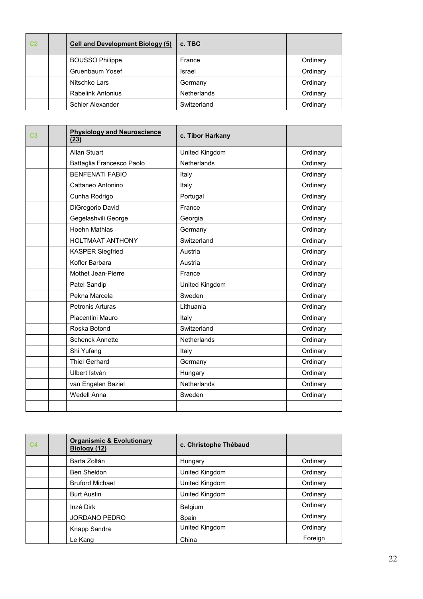| C <sub>2</sub> | <b>Cell and Development Biology (5)</b> | c. TBC             |          |
|----------------|-----------------------------------------|--------------------|----------|
|                | <b>BOUSSO Philippe</b>                  | France             | Ordinary |
|                | Gruenbaum Yosef                         | Israel             | Ordinary |
|                | Nitschke Lars                           | Germany            | Ordinary |
|                | <b>Rabelink Antonius</b>                | <b>Netherlands</b> | Ordinary |
|                | Schier Alexander                        | Switzerland        | Ordinary |

| C3 | <b>Physiology and Neuroscience</b><br>(23) | c. Tibor Harkany   |          |
|----|--------------------------------------------|--------------------|----------|
|    | <b>Allan Stuart</b>                        | United Kingdom     | Ordinary |
|    | Battaglia Francesco Paolo                  | <b>Netherlands</b> | Ordinary |
|    | <b>BENFENATI FABIO</b>                     | Italy              | Ordinary |
|    | Cattaneo Antonino                          | Italy              | Ordinary |
|    | Cunha Rodrigo                              | Portugal           | Ordinary |
|    | DiGregorio David                           | France             | Ordinary |
|    | Gegelashvili George                        | Georgia            | Ordinary |
|    | <b>Hoehn Mathias</b>                       | Germany            | Ordinary |
|    | <b>HOLTMAAT ANTHONY</b>                    | Switzerland        | Ordinary |
|    | <b>KASPER Siegfried</b>                    | Austria            | Ordinary |
|    | Kofler Barbara                             | Austria            | Ordinary |
|    | Mothet Jean-Pierre                         | France             | Ordinary |
|    | Patel Sandip                               | United Kingdom     | Ordinary |
|    | Pekna Marcela                              | Sweden             | Ordinary |
|    | <b>Petronis Arturas</b>                    | Lithuania          | Ordinary |
|    | Piacentini Mauro                           | Italy              | Ordinary |
|    | Roska Botond                               | Switzerland        | Ordinary |
|    | <b>Schenck Annette</b>                     | Netherlands        | Ordinary |
|    | Shi Yufang                                 | Italy              | Ordinary |
|    | <b>Thiel Gerhard</b>                       | Germany            | Ordinary |
|    | Ulbert István                              | Hungary            | Ordinary |
|    | van Engelen Baziel                         | Netherlands        | Ordinary |
|    | <b>Wedell Anna</b>                         | Sweden             | Ordinary |
|    |                                            |                    |          |

| C <sub>4</sub> | <b>Organismic &amp; Evolutionary</b><br>Biology (12) | c. Christophe Thébaud |          |
|----------------|------------------------------------------------------|-----------------------|----------|
|                | Barta Zoltán                                         | Hungary               | Ordinary |
|                | <b>Ben Sheldon</b>                                   | United Kingdom        | Ordinary |
|                | <b>Bruford Michael</b>                               | United Kingdom        | Ordinary |
|                | <b>Burt Austin</b>                                   | United Kingdom        | Ordinary |
|                | Inzé Dirk                                            | Belgium               | Ordinary |
|                | JORDANO PEDRO                                        | Spain                 | Ordinary |
|                | Knapp Sandra                                         | United Kingdom        | Ordinary |
|                | Le Kang                                              | China                 | Foreign  |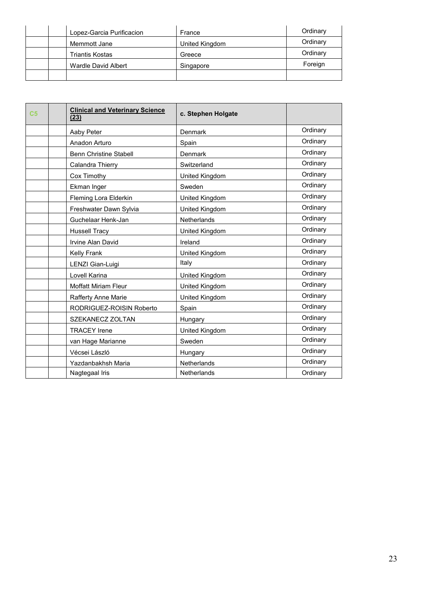| Lopez-Garcia Purificacion | France         | Ordinary |
|---------------------------|----------------|----------|
| Memmott Jane              | United Kingdom | Ordinary |
| Triantis Kostas           | Greece         | Ordinary |
| Wardle David Albert       | Singapore      | Foreign  |
|                           |                |          |

| C <sub>5</sub> | <b>Clinical and Veterinary Science</b><br>(23) | c. Stephen Holgate |          |
|----------------|------------------------------------------------|--------------------|----------|
|                | Aaby Peter                                     | <b>Denmark</b>     | Ordinary |
|                | Anadon Arturo                                  | Spain              | Ordinary |
|                | <b>Benn Christine Stabell</b>                  | Denmark            | Ordinary |
|                | Calandra Thierry                               | Switzerland        | Ordinary |
|                | Cox Timothy                                    | United Kingdom     | Ordinary |
|                | Ekman Inger                                    | Sweden             | Ordinary |
|                | <b>Fleming Lora Elderkin</b>                   | United Kingdom     | Ordinary |
|                | Freshwater Dawn Sylvia                         | United Kingdom     | Ordinary |
|                | Guchelaar Henk-Jan                             | Netherlands        | Ordinary |
|                | <b>Hussell Tracy</b>                           | United Kingdom     | Ordinary |
|                | Irvine Alan David                              | Ireland            | Ordinary |
|                | Kelly Frank                                    | United Kingdom     | Ordinary |
|                | LENZI Gian-Luigi                               | Italy              | Ordinary |
|                | Lovell Karina                                  | United Kingdom     | Ordinary |
|                | Moffatt Miriam Fleur                           | United Kingdom     | Ordinary |
|                | <b>Rafferty Anne Marie</b>                     | United Kingdom     | Ordinary |
|                | RODRIGUEZ-ROISIN Roberto                       | Spain              | Ordinary |
|                | SZEKANECZ ZOLTAN                               | Hungary            | Ordinary |
|                | <b>TRACEY</b> Irene                            | United Kingdom     | Ordinary |
|                | van Hage Marianne                              | Sweden             | Ordinary |
|                | Vécsei László                                  | Hungary            | Ordinary |
|                | Yazdanbakhsh Maria                             | <b>Netherlands</b> | Ordinary |
|                | Nagtegaal Iris                                 | <b>Netherlands</b> | Ordinary |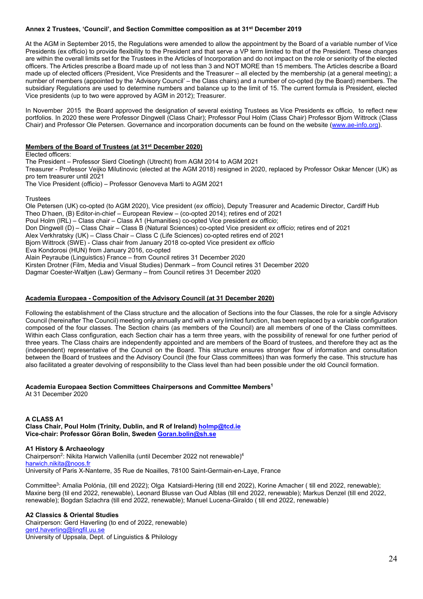# **Annex 2 Trustees, 'Council', and Section Committee composition as at 31st December 2019**

At the AGM in September 2015, the Regulations were amended to allow the appointment by the Board of a variable number of Vice Presidents (ex officio) to provide flexibility to the President and that serve a VP term limited to that of the President. These changes are within the overall limits set for the Trustees in the Articles of Incorporation and do not impact on the role or seniority of the elected officers. The Articles prescribe a Board made up of not less than 3 and NOT MORE than 15 members. The Articles describe a Board made up of elected officers (President, Vice Presidents and the Treasurer – all elected by the membership (at a general meeting); a number of members (appointed by the 'Advisory Council' – the Class chairs) and a number of co-opted (by the Board) members. The subsidiary Regulations are used to determine numbers and balance up to the limit of 15. The current formula is President, elected Vice presidents (up to two were approved by AGM in 2012); Treasurer.

In November 2015 the Board approved the designation of several existing Trustees as Vice Presidents ex officio, to reflect new portfolios. In 2020 these were Professor Dingwell (Class Chair); Professor Poul Holm (Class Chair) Professor Bjorn Wittrock (Class Chair) and Professor Ole Petersen. Governance and incorporation documents can be found on the website [\(www.ae-info.org\)](http://www.ae-info.org/).

#### **Members of the Board of Trustees (at 31st December 2020)**

Elected officers: The President – Professor Sierd Cloetingh (Utrecht) from AGM 2014 to AGM 2021 Treasurer - Professor Veijko Milutinovic (elected at the AGM 2018) resigned in 2020, replaced by Professor Oskar Mencer (UK) as pro tem treasurer until 2021 The Vice President (officio) – Professor Genoveva Marti to AGM 2021

Trustees

Ole Petersen (UK) co-opted (to AGM 2020), Vice president (*ex officio*), Deputy Treasurer and Academic Director, Cardiff Hub Theo D'haen, (B) Editor-in-chief – European Review – (co-opted 2014); retires end of 2021 Poul Holm (IRL) – Class chair – Class A1 (Humanities) co-opted Vice president *ex officio*; Don Dingwell (D) – Class Chair – Class B (Natural Sciences) co-opted Vice president *ex officio*; retires end of 2021 Alex Verkhratsky (UK) – Class Chair – Class C (Life Sciences) co-opted retires end of 2021 Bjorn Wittrock (SWE) - Class chair from January 2018 co-opted Vice president *ex officio* Eva Kondorosi (HUN) from January 2016, co-opted Alain Peyraube (Linguistics) France – from Council retires 31 December 2020 Kirsten Drotner (Film, Media and Visual Studies) Denmark – from Council retires 31 December 2020 Dagmar Coester-Waltjen (Law) Germany – from Council retires 31 December 2020

# **Academia Europaea - Composition of the Advisory Council (at 31 December 2020)**

Following the establishment of the Class structure and the allocation of Sections into the four Classes, the role for a single Advisory Council (hereinafter The Council) meeting only annually and with a very limited function, has been replaced by a variable configuration composed of the four classes. The Section chairs (as members of the Council) are all members of one of the Class committees. Within each Class configuration, each Section chair has a term three years, with the possibility of renewal for one further period of three years. The Class chairs are independently appointed and are members of the Board of trustees, and therefore they act as the (independent) representative of the Council on the Board. This structure ensures stronger flow of information and consultation between the Board of trustees and the Advisory Council (the four Class committees) than was formerly the case. This structure has also facilitated a greater devolving of responsibility to the Class level than had been possible under the old Council formation.

# **Academia Europaea Section Committees Chairpersons and Committee Members1**

At 31 December 2020

**A CLASS A1 Class Chair, Poul Holm (Trinity, Dublin, and R of Ireland[\) holmp@tcd.ie](mailto:holmp@tcd.ie) Vice-chair: Professor Göran Bolin, Sweden [Goran.bolin@sh.se](mailto:Goran.bolin@sh.se)** 

# **A1 History & Archaeology**

Chairperson2: Nikita Harwich Vallenilla (until December 2022 not renewable)4 [harwich.nikita@noos.fr](mailto:harwich.nikita@noos.fr)  University of Paris X-Nanterre, 35 Rue de Noailles, 78100 Saint-Germain-en-Laye, France

Committee3: Amalia Polónia, (till end 2022); Olga Katsiardi-Hering (till end 2022), Korine Amacher ( till end 2022, renewable); Maxine berg (til end 2022, renewable), Leonard Blusse van Oud Alblas (till end 2022, renewable); Markus Denzel (till end 2022, renewable); Bogdan Szlachra (till end 2022, renewable); Manuel Lucena-Giraldo ( till end 2022, renewable)

#### **A2 Classics & Oriental Studies**

Chairperson: Gerd Haverling (to end of 2022, renewable) [gerd.haverling@lingfil.uu.se](mailto:gerd.haverling@lingfil.uu.se) University of Uppsala, Dept. of Linguistics & Philology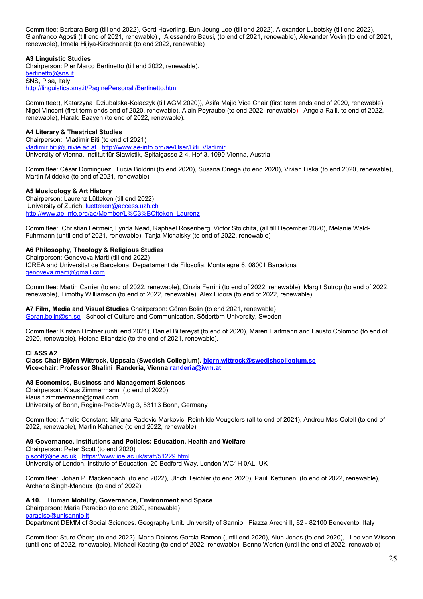Committee: Barbara Borg (till end 2022), Gerd Haverling, Eun-Jeung Lee (till end 2022), Alexander Lubotsky (till end 2022), Gianfranco Agosti (till end of 2021, renewable) , Alessandro Bausi, (to end of 2021, renewable), Alexander Vovin (to end of 2021, renewable), Irmela Hijiya-Kirschnereit (to end 2022, renewable)

# **A3 Linguistic Studies**

Chairperson: Pier Marco Bertinetto (till end 2022, renewable). [bertinetto@sns.it](mailto:bertinetto@sns.it) SNS, Pisa, Italy <http://linguistica.sns.it/PaginePersonali/Bertinetto.htm>

Committee:), Katarzyna Dziubalska-Kolaczyk (till AGM 2020)), Asifa Majid Vice Chair (first term ends end of 2020, renewable), Nigel Vincent (first term ends end of 2020, renewable), Alain Peyraube (to end 2022, renewable), Angela Ralli, to end of 2022, renewable), Harald Baayen (to end of 2022, renewable).

# **A4 Literary & Theatrical Studies**

Chairperson: Vladimir Biti (to end of 2021) [vladimir.biti@univie.ac.at](mailto:vladimir.biti@univie.ac.at) [http://www.ae-info.org/ae/User/Biti\\_Vladimir](http://www.ae-info.org/ae/User/Biti_Vladimir)  University of Vienna, Institut für Slawistik, Spitalgasse 2-4, Hof 3, 1090 Vienna, Austria

Committee: César Dominguez, Lucia Boldrini (to end 2020), Susana Onega (to end 2020), Vivian Liska (to end 2020, renewable), Martin Middeke (to end of 2021, renewable)

# **A5 Musicology & Art History**

Chairperson: Laurenz Lütteken (till end 2022) University of Zurich[. luetteken@access.uzh.ch](mailto:luetteken@access.uzh.ch) [http://www.ae-info.org/ae/Member/L%C3%BCtteken\\_Laurenz](http://www.ae-info.org/ae/Member/L%C3%BCtteken_Laurenz)

Committee: Christian Leitmeir, Lynda Nead, Raphael Rosenberg, Victor Stoichita, (all till December 2020), Melanie Wald-Fuhrmann (until end of 2021, renewable), Tanja Michalsky (to end of 2022, renewable)

# **A6 Philosophy, Theology & Religious Studies**

Chairperson: Genoveva Marti (till end 2022) ICREA and Universitat de Barcelona, Departament de Filosofia, Montalegre 6, 08001 Barcelona [genoveva.marti@gmail.com](mailto:genoveva.marti@gmail.com)

Committee: Martin Carrier (to end of 2022, renewable), Cinzia Ferrini (to end of 2022, renewable), Margit Sutrop (to end of 2022, renewable), Timothy Williamson (to end of 2022, renewable), Alex Fidora (to end of 2022, renewable)

#### **A7 Film, Media and Visual Studies** Chairperson: Göran Bolin (to end 2021, renewable) [Goran.bolin@sh.se](mailto:Goran.bolin@sh.se) School of Culture and Communication, Södertörn University, Sweden

Committee: Kirsten Drotner (until end 2021), Daniel Biltereyst (to end of 2020), Maren Hartmann and Fausto Colombo (to end of 2020, renewable), Helena Bilandzic (to the end of 2021, renewable).

# **CLASS A2**

**Class Chair Björn Wittrock, Uppsala (Swedish Collegium). [bjorn.wittrock@swedishcollegium.se](mailto:bjorn.wittrock@swedishcollegium.se) Vice-chair: Professor Shalini Randeria, Vienna [randeria@iwm.at](mailto:randeria@iwm.at)**

# **A8 Economics, Business and Management Sciences**

Chairperson: Klaus Zimmermann (to end of 2020) klaus.f.zimmermann@gmail.com University of Bonn, Regina-Pacis-Weg 3, 53113 Bonn, Germany

Committee: Amelie Constant, Mirjana Radovic-Markovic, Reinhilde Veugelers (all to end of 2021), Andreu Mas-Colell (to end of 2022, renewable), Martin Kahanec (to end 2022, renewable)

# **A9 Governance, Institutions and Policies: Education, Health and Welfare**

Chairperson: Peter Scott (to end 2020) [p.scott@ioe.ac.uk](mailto:p.scott@ioe.ac.uk) <https://www.ioe.ac.uk/staff/51229.html> University of London, Institute of Education, 20 Bedford Way, London WC1H 0AL, UK

Committee:, Johan P. Mackenbach, (to end 2022), Ulrich Teichler (to end 2020), Pauli Kettunen (to end of 2022, renewable), Archana Singh-Manoux (to end of 2022)

# **A 10. Human Mobility, Governance, Environment and Space**

Chairperson: Maria Paradiso (to end 2020, renewable) [paradiso@unisannio.it](mailto:paradiso@unisannio.it)

Department DEMM of Social Sciences. Geography Unit. University of Sannio, Piazza Arechi II, 82 - 82100 Benevento, Italy

Committee: Sture Öberg (to end 2022), Maria Dolores Garcia-Ramon (until end 2020), Alun Jones (to end 2020), . Leo van Wissen (until end of 2022, renewable), Michael Keating (to end of 2022, renewable), Benno Werlen (until the end of 2022, renewable)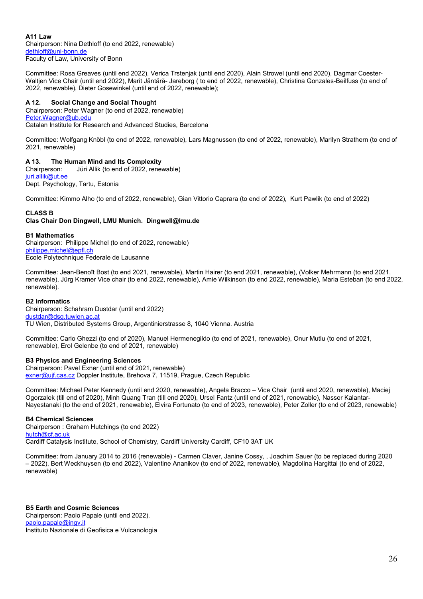**A11 Law** Chairperson: Nina Dethloff (to end 2022, renewable) [dethloff@uni-bonn.de](mailto:dethloff@uni-bonn.de) Faculty of Law, University of Bonn

Committee: Rosa Greaves (until end 2022), Verica Trstenjak (until end 2020), Alain Strowel (until end 2020), Dagmar Coester-Waltjen Vice Chair (until end 2022), Marit Jäntärä- Jareborg (to end of 2022, renewable), Christina Gonzales-Beilfuss (to end of 2022, renewable), Dieter Gosewinkel (until end of 2022, renewable);

# **A 12. Social Change and Social Thought**

Chairperson: Peter Wagner (to end of 2022, renewable) [Peter.Wagner@ub.edu](mailto:Peter.Wagner@ub.edu) Catalan Institute for Research and Advanced Studies, Barcelona

Committee: Wolfgang Knöbl (to end of 2022, renewable), Lars Magnusson (to end of 2022, renewable), Marilyn Strathern (to end of 2021, renewable)

# **A 13. The Human Mind and Its Complexity**

Chairperson: Jüri Allik (to end of 2022, renewable) [juri.allik@ut.ee](mailto:juri.allik@ut.ee) Dept. Psychology, Tartu, Estonia

Committee: Kimmo Alho (to end of 2022, renewable), Gian Vittorio Caprara (to end of 2022), Kurt Pawlik (to end of 2022)

# **CLASS B**

# **Clas Chair Don Dingwell, LMU Munich. Dingwell@lmu.de**

#### **B1 Mathematics**

Chairperson: Philippe Michel (to end of 2022, renewable) [philippe.michel@epfl.ch](mailto:philippe.michel@epfl.ch) Ecole Polytechnique Federale de Lausanne

Committee: Jean-Benoît Bost (to end 2021, renewable), Martin Hairer (to end 2021, renewable), (Volker Mehrmann (to end 2021, renewable), Jürg Kramer Vice chair (to end 2022, renewable), Amie Wilkinson (to end 2022, renewable), Maria Esteban (to end 2022, renewable).

# **B2 Informatics**

Chairperson: Schahram Dustdar (until end 2022) [dustdar@dsg.tuwien.ac.at](mailto:dustdar@dsg.tuwien.ac.at) TU Wien, Distributed Systems Group, Argentinierstrasse 8, 1040 Vienna. Austria

Committee: Carlo Ghezzi (to end of 2020), Manuel Hermenegildo (to end of 2021, renewable), Onur Mutlu (to end of 2021, renewable), Erol Gelenbe (to end of 2021, renewable)

# **B3 Physics and Engineering Sciences**

Chairperson: Pavel Exner (until end of 2021, renewable) [exner@ujf.cas.cz](mailto:exner@ujf.cas.cz) Doppler Institute, Brehova 7, 11519, Prague, Czech Republic

Committee: Michael Peter Kennedy (until end 2020, renewable), Angela Bracco – Vice Chair (until end 2020, renewable), Maciej Ogorzalek (till end of 2020), Minh Quang Tran (till end 2020), Ursel Fantz (until end of 2021, renewable), Nasser Kalantar-Nayestanaki (to the end of 2021, renewable), Elvira Fortunato (to end of 2023, renewable), Peter Zoller (to end of 2023, renewable)

# **B4 Chemical Sciences**

Chairperson : Graham Hutchings (to end 2022) [hutch@cf.ac.uk](mailto:hutch@cf.ac.uk) Cardiff Catalysis Institute, School of Chemistry, Cardiff University Cardiff, CF10 3AT UK

Committee: from January 2014 to 2016 (renewable) - Carmen Claver, Janine Cossy, , Joachim Sauer (to be replaced during 2020 – 2022), Bert Weckhuysen (to end 2022), Valentine Ananikov (to end of 2022, renewable), Magdolina Hargittai (to end of 2022, renewable)

**B5 Earth and Cosmic Sciences** Chairperson: Paolo Papale (until end 2022). [paolo.papale@ingv.it](mailto:paolo.papale@ingv.it) Instituto Nazionale di Geofisica e Vulcanologia